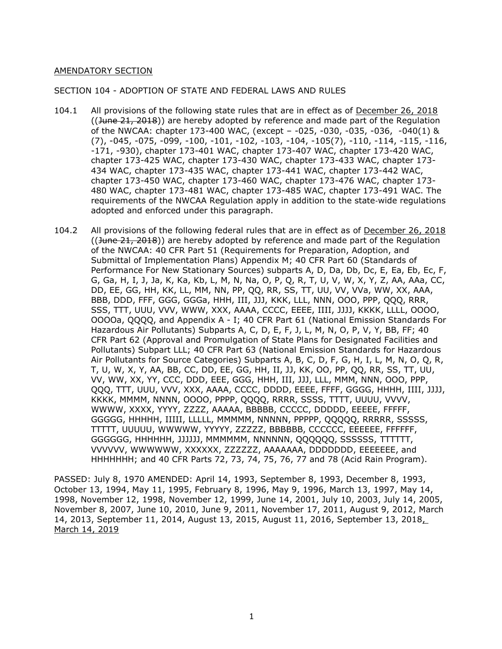### AMENDATORY SECTION

#### SECTION 104 - ADOPTION OF STATE AND FEDERAL LAWS AND RULES

- 104.1 All provisions of the following state rules that are in effect as of December 26, 2018 ((June 21, 2018)) are hereby adopted by reference and made part of the Regulation of the NWCAA: chapter 173-400 WAC, (except – -025, -030, -035, -036, -040(1) & (7), -045, -075, -099, -100, -101, -102, -103, -104, -105(7), -110, -114, -115, -116, -171, -930), chapter 173-401 WAC, chapter 173-407 WAC, chapter 173-420 WAC, chapter 173-425 WAC, chapter 173-430 WAC, chapter 173-433 WAC, chapter 173- 434 WAC, chapter 173-435 WAC, chapter 173-441 WAC, chapter 173-442 WAC, chapter 173-450 WAC, chapter 173-460 WAC, chapter 173-476 WAC, chapter 173- 480 WAC, chapter 173-481 WAC, chapter 173-485 WAC, chapter 173-491 WAC. The requirements of the NWCAA Regulation apply in addition to the state‐wide regulations adopted and enforced under this paragraph.
- 104.2 All provisions of the following federal rules that are in effect as of December 26, 2018  $((\text{June } 21, 2018))$  are hereby adopted by reference and made part of the Regulation of the NWCAA: 40 CFR Part 51 (Requirements for Preparation, Adoption, and Submittal of Implementation Plans) Appendix M; 40 CFR Part 60 (Standards of Performance For New Stationary Sources) subparts A, D, Da, Db, Dc, E, Ea, Eb, Ec, F, G, Ga, H, I, J, Ja, K, Ka, Kb, L, M, N, Na, O, P, Q, R, T, U, V, W, X, Y, Z, AA, AAa, CC, DD, EE, GG, HH, KK, LL, MM, NN, PP, QQ, RR, SS, TT, UU, VV, VVa, WW, XX, AAA, BBB, DDD, FFF, GGG, GGGa, HHH, III, JJJ, KKK, LLL, NNN, OOO, PPP, QQQ, RRR, SSS, TTT, UUU, VVV, WWW, XXX, AAAA, CCCC, EEEE, IIII, JJJJ, KKKK, LLLL, OOOO, OOOOa, QQQQ, and Appendix A - I; 40 CFR Part 61 (National Emission Standards For Hazardous Air Pollutants) Subparts A, C, D, E, F, J, L, M, N, O, P, V, Y, BB, FF; 40 CFR Part 62 (Approval and Promulgation of State Plans for Designated Facilities and Pollutants) Subpart LLL; 40 CFR Part 63 (National Emission Standards for Hazardous Air Pollutants for Source Categories) Subparts A, B, C, D, F, G, H, I, L, M, N, O, Q, R, T, U, W, X, Y, AA, BB, CC, DD, EE, GG, HH, II, JJ, KK, OO, PP, QQ, RR, SS, TT, UU, VV, WW, XX, YY, CCC, DDD, EEE, GGG, HHH, III, JJJ, LLL, MMM, NNN, OOO, PPP, QQQ, TTT, UUU, VVV, XXX, AAAA, CCCC, DDDD, EEEE, FFFF, GGGG, HHHH, IIII, JJJJ, KKKK, MMMM, NNNN, OOOO, PPPP, QQQQ, RRRR, SSSS, TTTT, UUUU, VVVV, WWWW, XXXX, YYYY, ZZZZ, AAAAA, BBBBB, CCCCC, DDDDD, EEEEE, FFFFF, GGGGG, HHHHH, IIIII, LLLLL, MMMMM, NNNNN, PPPPP, QQQQQ, RRRRR, SSSSS, TTTTT, UUUUU, WWWWW, YYYYY, ZZZZZ, BBBBBB, CCCCCC, EEEEEE, FFFFFF, GGGGGG, HHHHHH, JJJJJJ, MMMMMM, NNNNNN, QQQQQQ, SSSSSS, TTTTTT, VVVVVV, WWWWWW, XXXXXX, ZZZZZZ, AAAAAAA, DDDDDDD, EEEEEEE, and HHHHHHH; and 40 CFR Parts 72, 73, 74, 75, 76, 77 and 78 (Acid Rain Program).

PASSED: July 8, 1970 AMENDED: April 14, 1993, September 8, 1993, December 8, 1993, October 13, 1994, May 11, 1995, February 8, 1996, May 9, 1996, March 13, 1997, May 14, 1998, November 12, 1998, November 12, 1999, June 14, 2001, July 10, 2003, July 14, 2005, November 8, 2007, June 10, 2010, June 9, 2011, November 17, 2011, August 9, 2012, March 14, 2013, September 11, 2014, August 13, 2015, August 11, 2016, September 13, 2018, March 14, 2019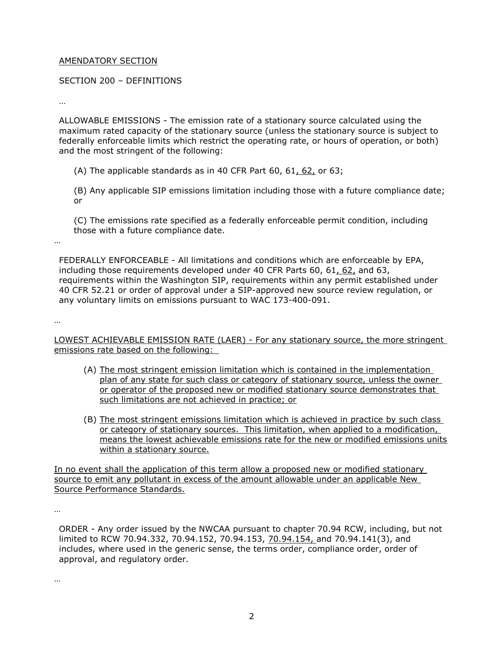### AMENDATORY SECTION

### SECTION 200 – DEFINITIONS

…

ALLOWABLE EMISSIONS - The emission rate of a stationary source calculated using the maximum rated capacity of the stationary source (unless the stationary source is subject to federally enforceable limits which restrict the operating rate, or hours of operation, or both) and the most stringent of the following:

(A) The applicable standards as in 40 CFR Part 60, 61, 62, or 63;

(B) Any applicable SIP emissions limitation including those with a future compliance date; or

(C) The emissions rate specified as a federally enforceable permit condition, including those with a future compliance date.

FEDERALLY ENFORCEABLE - All limitations and conditions which are enforceable by EPA, including those requirements developed under 40 CFR Parts 60, 61, 62, and 63, requirements within the Washington SIP, requirements within any permit established under 40 CFR 52.21 or order of approval under a SIP-approved new source review regulation, or any voluntary limits on emissions pursuant to WAC 173-400-091.

…

…

LOWEST ACHIEVABLE EMISSION RATE (LAER) - For any stationary source, the more stringent emissions rate based on the following:

- (A) The most stringent emission limitation which is contained in the implementation plan of any state for such class or category of stationary source, unless the owner or operator of the proposed new or modified stationary source demonstrates that such limitations are not achieved in practice; or
- (B) The most stringent emissions limitation which is achieved in practice by such class or category of stationary sources. This limitation, when applied to a modification, means the lowest achievable emissions rate for the new or modified emissions units within a stationary source.

In no event shall the application of this term allow a proposed new or modified stationary source to emit any pollutant in excess of the amount allowable under an applicable New Source Performance Standards.

…

ORDER - Any order issued by the NWCAA pursuant to chapter 70.94 RCW, including, but not limited to RCW 70.94.332, 70.94.152, 70.94.153, 70.94.154, and 70.94.141(3), and includes, where used in the generic sense, the terms order, compliance order, order of approval, and regulatory order.

…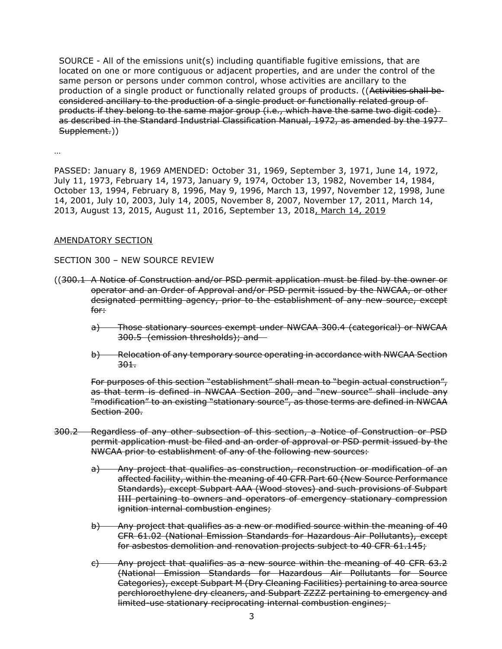SOURCE - All of the emissions unit(s) including quantifiable fugitive emissions, that are located on one or more contiguous or adjacent properties, and are under the control of the same person or persons under common control, whose activities are ancillary to the production of a single product or functionally related groups of products. ((Activities shall beconsidered ancillary to the production of a single product or functionally related group of products if they belong to the same major group (i.e., which have the same two digit code) as described in the Standard Industrial Classification Manual, 1972, as amended by the 1977-Supplement.))

…

PASSED: January 8, 1969 AMENDED: October 31, 1969, September 3, 1971, June 14, 1972, July 11, 1973, February 14, 1973, January 9, 1974, October 13, 1982, November 14, 1984, October 13, 1994, February 8, 1996, May 9, 1996, March 13, 1997, November 12, 1998, June 14, 2001, July 10, 2003, July 14, 2005, November 8, 2007, November 17, 2011, March 14, 2013, August 13, 2015, August 11, 2016, September 13, 2018, March 14, 2019

## AMENDATORY SECTION

SECTION 300 – NEW SOURCE REVIEW

- ((300.1 A Notice of Construction and/or PSD permit application must be filed by the owner or operator and an Order of Approval and/or PSD permit issued by the NWCAA, or other designated permitting agency, prior to the establishment of any new source, except for:
	- a) Those stationary sources exempt under NWCAA 300.4 (categorical) or NWCAA 300.5 (emission thresholds); and
	- b) Relocation of any temporary source operating in accordance with NWCAA Section 301.

For purposes of this section "establishment" shall mean to "begin actual construction", as that term is defined in NWCAA Section 200, and "new source" shall include any "modification" to an existing "stationary source", as those terms are defined in NWCAA Section 200.

- 300.2 Regardless of any other subsection of this section, a Notice of Construction or PSD permit application must be filed and an order of approval or PSD permit issued by the NWCAA prior to establishment of any of the following new sources:
	- a) Any project that qualifies as construction, reconstruction or modification of an affected facility, within the meaning of 40 CFR Part 60 (New Source Performance Standards), except Subpart AAA (Wood stoves) and such provisions of Subpart IIII pertaining to owners and operators of emergency stationary compression ignition internal combustion engines;
	- b) Any project that qualifies as a new or modified source within the meaning of 40 CFR 61.02 (National Emission Standards for Hazardous Air Pollutants), except for asbestos demolition and renovation projects subject to 40 CFR 61.145;
	- c) Any project that qualifies as a new source within the meaning of 40 CFR 63.2 (National Emission Standards for Hazardous Air Pollutants for Source Categories), except Subpart M (Dry Cleaning Facilities) pertaining to area source perchloroethylene dry cleaners, and Subpart ZZZZ pertaining to emergency and limited-use stationary reciprocating internal combustion engines;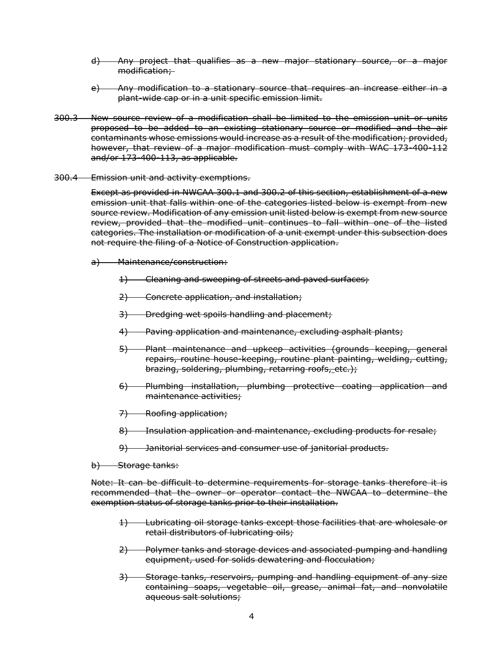- d) Any project that qualifies as a new major stationary source, or a major modification;
- e) Any modification to a stationary source that requires an increase either in a plant-wide cap or in a unit specific emission limit.
- 300.3 New source review of a modification shall be limited to the emission unit or units proposed to be added to an existing stationary source or modified and the air contaminants whose emissions would increase as a result of the modification; provided, however, that review of a major modification must comply with WAC 173-400-112 and/or 173-400-113, as applicable.
- 300.4 Emission unit and activity exemptions.

Except as provided in NWCAA 300.1 and 300.2 of this section, establishment of a new emission unit that falls within one of the categories listed below is exempt from new source review. Modification of any emission unit listed below is exempt from new source review, provided that the modified unit continues to fall within one of the listed categories. The installation or modification of a unit exempt under this subsection does not require the filing of a Notice of Construction application.

- a) Maintenance/construction:
	- 1) Cleaning and sweeping of streets and paved surfaces;
	- 2) Concrete application, and installation;
	- 3) Dredging wet spoils handling and placement;
	- 4) Paving application and maintenance, excluding asphalt plants;
	- 5) Plant maintenance and upkeep activities (grounds keeping, general repairs, routine house-keeping, routine plant painting, welding, cutting, brazing, soldering, plumbing, retarring roofs, etc.);
	- 6) Plumbing installation, plumbing protective coating application and maintenance activities;
	- 7) Roofing application;
	- 8) Insulation application and maintenance, excluding products for resale;
	- 9) Janitorial services and consumer use of janitorial products.
- b) Storage tanks:

Note: It can be difficult to determine requirements for storage tanks therefore it is recommended that the owner or operator contact the NWCAA to determine the exemption status of storage tanks prior to their installation.

- 1) Lubricating oil storage tanks except those facilities that are wholesale or retail distributors of lubricating oils;
- 2) Polymer tanks and storage devices and associated pumping and handling equipment, used for solids dewatering and flocculation;
- 3) Storage tanks, reservoirs, pumping and handling equipment of any size containing soaps, vegetable oil, grease, animal fat, and nonvolatile aqueous salt solutions;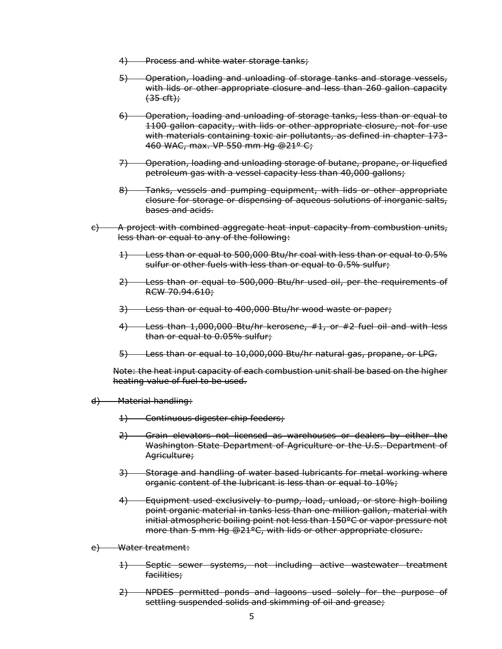- 4) Process and white water storage tanks;
- 5) Operation, loading and unloading of storage tanks and storage vessels, with lids or other appropriate closure and less than 260 gallon capacity  $(35 \text{ eff})$ ;
- 6) Operation, loading and unloading of storage tanks, less than or equal to 1100 gallon capacity, with lids or other appropriate closure, not for use with materials containing toxic air pollutants, as defined in chapter 173-460 WAC, max. VP 550 mm Hg @21° C;
- 7) Operation, loading and unloading storage of butane, propane, or liquefied petroleum gas with a vessel capacity less than 40,000 gallons;
- 8) Tanks, vessels and pumping equipment, with lids or other appropriate closure for storage or dispensing of aqueous solutions of inorganic salts, bases and acids.
- $\epsilon$ ) A project with combined aggregate heat input capacity from combustion units, less than or equal to any of the following:
	- 1) Less than or equal to 500,000 Btu/hr coal with less than or equal to 0.5% sulfur or other fuels with less than or equal to 0.5% sulfur;
	- 2) Less than or equal to 500,000 Btu/hr used oil, per the requirements of RCW 70.94.610;
	- 3) Less than or equal to 400,000 Btu/hr wood waste or paper;
	- 4) Less than 1,000,000 Btu/hr kerosene, #1, or #2 fuel oil and with less than or equal to 0.05% sulfur;
	- 5) Less than or equal to 10,000,000 Btu/hr natural gas, propane, or LPG.

Note: the heat input capacity of each combustion unit shall be based on the higher heating value of fuel to be used.

- d) Material handling:
	- 1) Continuous digester chip feeders;
	- 2) Grain elevators not licensed as warehouses or dealers by either the Washington State Department of Agriculture or the U.S. Department of Agriculture;
	- 3) Storage and handling of water based lubricants for metal working where organic content of the lubricant is less than or equal to 10%;
	- 4) Equipment used exclusively to pump, load, unload, or store high boiling point organic material in tanks less than one million gallon, material with initial atmospheric boiling point not less than 150°C or vapor pressure not more than 5 mm Hg @21°C, with lids or other appropriate closure.
- e) Water treatment:
	- 1) Septic sewer systems, not including active wastewater treatment facilities;
	- 2) NPDES permitted ponds and lagoons used solely for the purpose of settling suspended solids and skimming of oil and grease;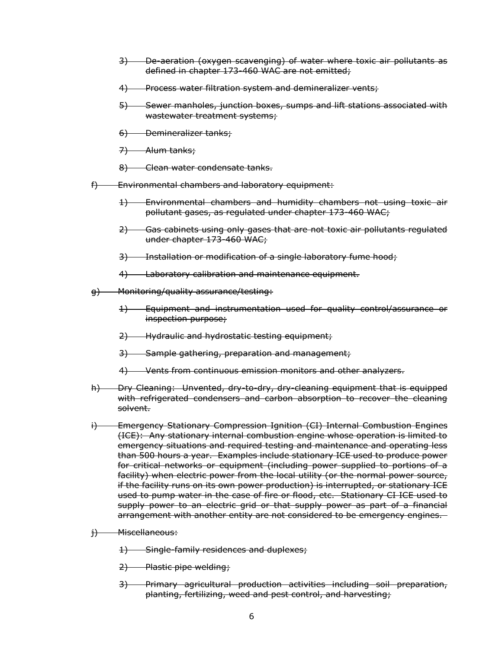- 3) De-aeration (oxygen scavenging) of water where toxic air pollutants as defined in chapter 173-460 WAC are not emitted;
- 4) Process water filtration system and demineralizer vents;
- 5) Sewer manholes, junction boxes, sumps and lift stations associated with wastewater treatment systems;
- 6) Demineralizer tanks;
- 7) Alum tanks;
- 8) Clean water condensate tanks.
- f) Environmental chambers and laboratory equipment:
	- 1) Environmental chambers and humidity chambers not using toxic air pollutant gases, as regulated under chapter 173-460 WAC;
	- 2) Gas cabinets using only gases that are not toxic air pollutants regulated under chapter 173-460 WAC;
	- 3) Installation or modification of a single laboratory fume hood;
	- 4) Laboratory calibration and maintenance equipment.
- g) Monitoring/quality assurance/testing:
	- 1) Equipment and instrumentation used for quality control/assurance or inspection purpose;
	- 2) Hydraulic and hydrostatic testing equipment;
	- 3) Sample gathering, preparation and management;
	- 4) Vents from continuous emission monitors and other analyzers.
- h) Dry Cleaning: Unvented, dry-to-dry, dry-cleaning equipment that is equipped with refrigerated condensers and carbon absorption to recover the cleaning solvent.
- i) Emergency Stationary Compression Ignition (CI) Internal Combustion Engines (ICE): Any stationary internal combustion engine whose operation is limited to emergency situations and required testing and maintenance and operating less than 500 hours a year. Examples include stationary ICE used to produce power for critical networks or equipment (including power supplied to portions of a facility) when electric power from the local utility (or the normal power source, if the facility runs on its own power production) is interrupted, or stationary ICE used to pump water in the case of fire or flood, etc. Stationary CI ICE used to supply power to an electric grid or that supply power as part of a financial arrangement with another entity are not considered to be emergency engines.
- i) Miscellaneous:
	- 1) Single-family residences and duplexes;
	- 2) Plastic pipe welding;
	- 3) Primary agricultural production activities including soil preparation, planting, fertilizing, weed and pest control, and harvesting;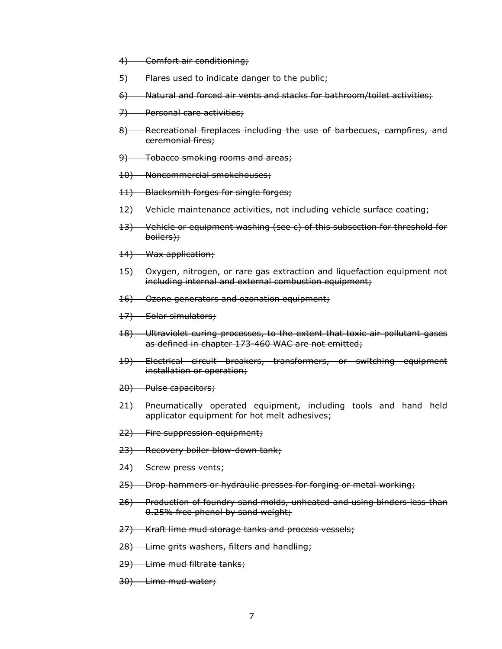- 4) Comfort air conditioning;
- 5) Flares used to indicate danger to the public;
- 6) Natural and forced air vents and stacks for bathroom/toilet activities;
- 7) Personal care activities;
- 8) Recreational fireplaces including the use of barbecues, campfires, and ceremonial fires;
- 9) Tobacco smoking rooms and areas;
- 10) Noncommercial smokehouses;
- 11) Blacksmith forges for single forges;
- 12) Vehicle maintenance activities, not including vehicle surface coating;
- 13) Vehicle or equipment washing (see c) of this subsection for threshold for boilers);
- 14) Wax application;
- 15) Oxygen, nitrogen, or rare gas extraction and liquefaction equipment not including internal and external combustion equipment;
- 16) Ozone generators and ozonation equipment;
- 17) Solar simulators;
- 18) Ultraviolet curing processes, to the extent that toxic air pollutant gases as defined in chapter 173-460 WAC are not emitted;
- 19) Electrical circuit breakers, transformers, or switching equipment installation or operation;
- 20) Pulse capacitors;
- 21) Pneumatically operated equipment, including tools and hand held applicator equipment for hot melt adhesives;
- 22) Fire suppression equipment;
- 23) Recovery boiler blow-down tank;
- 24) Screw press vents;
- 25) Drop hammers or hydraulic presses for forging or metal working;
- 26) Production of foundry sand molds, unheated and using binders less than 0.25% free phenol by sand weight;
- 27) Kraft lime mud storage tanks and process vessels;
- 28) Lime grits washers, filters and handling;
- 29) Lime mud filtrate tanks;
- 30) Lime mud water;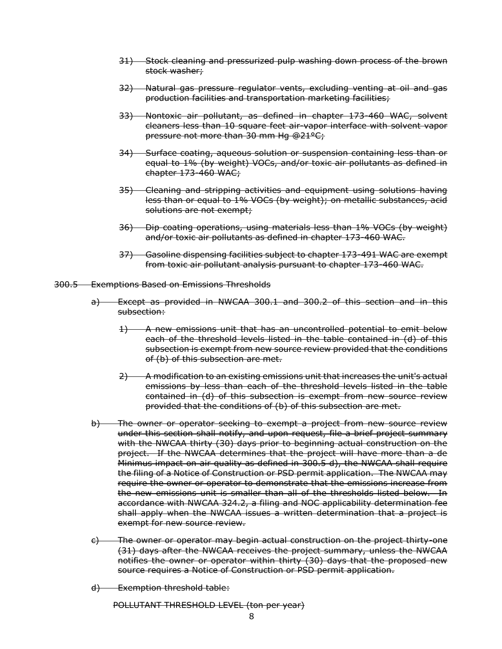- 31) Stock cleaning and pressurized pulp washing down process of the brown stock washer;
- 32) Natural gas pressure regulator vents, excluding venting at oil and gas production facilities and transportation marketing facilities;
- 33) Nontoxic air pollutant, as defined in chapter 173-460 WAC, solvent cleaners less than 10 square feet air-vapor interface with solvent vapor pressure not more than 30 mm Hg @21°C;
- 34) Surface coating, aqueous solution or suspension containing less than or equal to 1% (by weight) VOCs, and/or toxic air pollutants as defined in chapter 173-460 WAC;
- 35) Cleaning and stripping activities and equipment using solutions having less than or equal to 1% VOCs (by weight); on metallic substances, acid solutions are not exempt;
- 36) Dip coating operations, using materials less than 1% VOCs (by weight) and/or toxic air pollutants as defined in chapter 173-460 WAC.
- 37) Gasoline dispensing facilities subject to chapter 173-491 WAC are exempt from toxic air pollutant analysis pursuant to chapter 173-460 WAC.
- 300.5 Exemptions Based on Emissions Thresholds
	- a) Except as provided in NWCAA 300.1 and 300.2 of this section and in this subsection:
		- 1) A new emissions unit that has an uncontrolled potential to emit below each of the threshold levels listed in the table contained in (d) of this subsection is exempt from new source review provided that the conditions of (b) of this subsection are met.
		- 2) A modification to an existing emissions unit that increases the unit's actual emissions by less than each of the threshold levels listed in the table contained in (d) of this subsection is exempt from new source review provided that the conditions of (b) of this subsection are met.
	- b) The owner or operator seeking to exempt a project from new source review under this section shall notify, and upon request, file a brief project summary with the NWCAA thirty (30) days prior to beginning actual construction on the project. If the NWCAA determines that the project will have more than a de Minimus impact on air quality as defined in 300.5 d), the NWCAA shall require the filing of a Notice of Construction or PSD permit application. The NWCAA may require the owner or operator to demonstrate that the emissions increase from the new emissions unit is smaller than all of the thresholds listed below. In accordance with NWCAA 324.2, a filing and NOC applicability determination fee shall apply when the NWCAA issues a written determination that a project is exempt for new source review.
	- c) The owner or operator may begin actual construction on the project thirty-one (31) days after the NWCAA receives the project summary, unless the NWCAA notifies the owner or operator within thirty (30) days that the proposed new source requires a Notice of Construction or PSD permit application.
	- d) Exemption threshold table:

POLLUTANT THRESHOLD LEVEL (ton per year)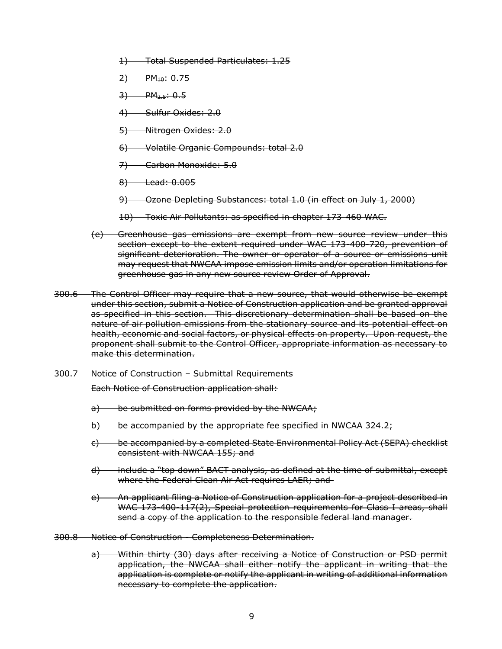- 1) Total Suspended Particulates: 1.25
- $2)$  PM<sub>10</sub>: 0.75
- $3)$  PM<sub>2.5</sub>: 0.5
- 4) Sulfur Oxides: 2.0
- 5) Nitrogen Oxides: 2.0
- 6) Volatile Organic Compounds: total 2.0
- 7) Carbon Monoxide: 5.0
- 8) Lead: 0.005
- 9) Ozone Depleting Substances: total 1.0 (in effect on July 1, 2000)
- 10) Toxic Air Pollutants: as specified in chapter 173-460 WAC.
- (e) Greenhouse gas emissions are exempt from new source review under this section except to the extent required under WAC 173-400-720, prevention of significant deterioration. The owner or operator of a source or emissions unit may request that NWCAA impose emission limits and/or operation limitations for greenhouse gas in any new source review Order of Approval.
- 300.6 The Control Officer may require that a new source, that would otherwise be exempt under this section, submit a Notice of Construction application and be granted approval as specified in this section. This discretionary determination shall be based on the nature of air pollution emissions from the stationary source and its potential effect on health, economic and social factors, or physical effects on property. Upon request, the proponent shall submit to the Control Officer, appropriate information as necessary to make this determination.
- 300.7 Notice of Construction Submittal Requirements

Each Notice of Construction application shall:

- a) be submitted on forms provided by the NWCAA;
- b) be accompanied by the appropriate fee specified in NWCAA 324.2;
- c) be accompanied by a completed State Environmental Policy Act (SEPA) checklist consistent with NWCAA 155; and
- d) include a "top down" BACT analysis, as defined at the time of submittal, except where the Federal Clean Air Act requires LAER; and
- e) An applicant filing a Notice of Construction application for a project described in WAC 173-400-117(2), Special protection requirements for Class I areas, shall send a copy of the application to the responsible federal land manager.
- 300.8 Notice of Construction Completeness Determination.
	- a) Within thirty (30) days after receiving a Notice of Construction or PSD permit application, the NWCAA shall either notify the applicant in writing that the application is complete or notify the applicant in writing of additional information necessary to complete the application.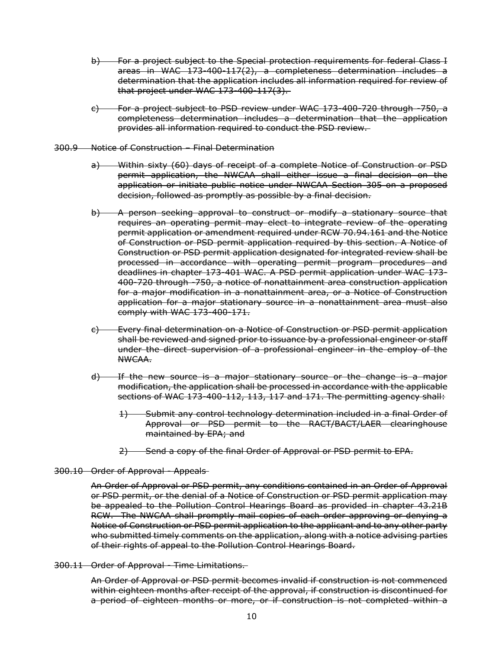- b) For a project subject to the Special protection requirements for federal Class I areas in WAC 173-400-117(2), a completeness determination includes a determination that the application includes all information required for review of that project under WAC 173-400-117(3).
- c) For a project subject to PSD review under WAC 173-400-720 through -750, a completeness determination includes a determination that the application provides all information required to conduct the PSD review.
- 300.9 Notice of Construction Final Determination
	- a) Within sixty (60) days of receipt of a complete Notice of Construction or PSD permit application, the NWCAA shall either issue a final decision on the application or initiate public notice under NWCAA Section 305 on a proposed decision, followed as promptly as possible by a final decision.
	- b) A person seeking approval to construct or modify a stationary source that requires an operating permit may elect to integrate review of the operating permit application or amendment required under RCW 70.94.161 and the Notice of Construction or PSD permit application required by this section. A Notice of Construction or PSD permit application designated for integrated review shall be processed in accordance with operating permit program procedures and deadlines in chapter 173-401 WAC. A PSD permit application under WAC 173- 400-720 through -750, a notice of nonattainment area construction application for a major modification in a nonattainment area, or a Notice of Construction application for a major stationary source in a nonattainment area must also comply with WAC 173-400-171.
	- c) Every final determination on a Notice of Construction or PSD permit application shall be reviewed and signed prior to issuance by a professional engineer or staff under the direct supervision of a professional engineer in the employ of the NWCAA.
	- d) If the new source is a major stationary source or the change is a major modification, the application shall be processed in accordance with the applicable sections of WAC 173-400-112, 113, 117 and 171. The permitting agency shall:
		- 1) Submit any control technology determination included in a final Order of Approval or PSD permit to the RACT/BACT/LAER clearinghouse maintained by EPA; and
		- 2) Send a copy of the final Order of Approval or PSD permit to EPA.

#### 300.10 Order of Approval - Appeals

An Order of Approval or PSD permit, any conditions contained in an Order of Approval or PSD permit, or the denial of a Notice of Construction or PSD permit application may be appealed to the Pollution Control Hearings Board as provided in chapter 43.21B RCW. The NWCAA shall promptly mail copies of each order approving or denying a Notice of Construction or PSD permit application to the applicant and to any other party who submitted timely comments on the application, along with a notice advising parties of their rights of appeal to the Pollution Control Hearings Board.

300.11 Order of Approval - Time Limitations.

An Order of Approval or PSD permit becomes invalid if construction is not commenced within eighteen months after receipt of the approval, if construction is discontinued for a period of eighteen months or more, or if construction is not completed within a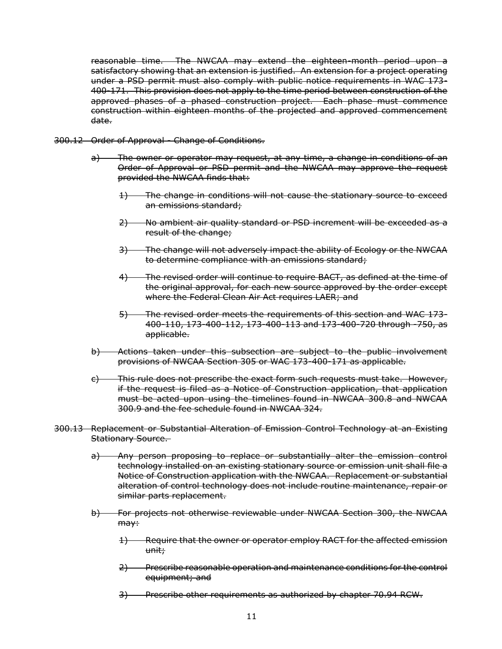reasonable time. The NWCAA may extend the eighteen-month period upon a satisfactory showing that an extension is justified. An extension for a project operating under a PSD permit must also comply with public notice requirements in WAC 173- 400-171. This provision does not apply to the time period between construction of the approved phases of a phased construction project. Each phase must commence construction within eighteen months of the projected and approved commencement date.

- 300.12 Order of Approval Change of Conditions.
	- a) The owner or operator may request, at any time, a change in conditions of an Order of Approval or PSD permit and the NWCAA may approve the request provided the NWCAA finds that:
		- 1) The change in conditions will not cause the stationary source to exceed an emissions standard;
		- 2) No ambient air quality standard or PSD increment will be exceeded as a result of the change;
		- 3) The change will not adversely impact the ability of Ecology or the NWCAA to determine compliance with an emissions standard;
		- 4) The revised order will continue to require BACT, as defined at the time of the original approval, for each new source approved by the order except where the Federal Clean Air Act requires LAER; and
		- 5) The revised order meets the requirements of this section and WAC 173- 400-110, 173-400-112, 173-400-113 and 173-400-720 through -750, as applicable.
	- b) Actions taken under this subsection are subject to the public involvement provisions of NWCAA Section 305 or WAC 173-400-171 as applicable.
	- c) This rule does not prescribe the exact form such requests must take. However, if the request is filed as a Notice of Construction application, that application must be acted upon using the timelines found in NWCAA 300.8 and NWCAA 300.9 and the fee schedule found in NWCAA 324.
- 300.13 Replacement or Substantial Alteration of Emission Control Technology at an Existing Stationary Source.
	- a) Any person proposing to replace or substantially alter the emission control technology installed on an existing stationary source or emission unit shall file a Notice of Construction application with the NWCAA. Replacement or substantial alteration of control technology does not include routine maintenance, repair or similar parts replacement.
	- b) For projects not otherwise reviewable under NWCAA Section 300, the NWCAA may:
		- 1) Require that the owner or operator employ RACT for the affected emission unit;
		- 2) Prescribe reasonable operation and maintenance conditions for the control equipment; and
		- 3) Prescribe other requirements as authorized by chapter 70.94 RCW.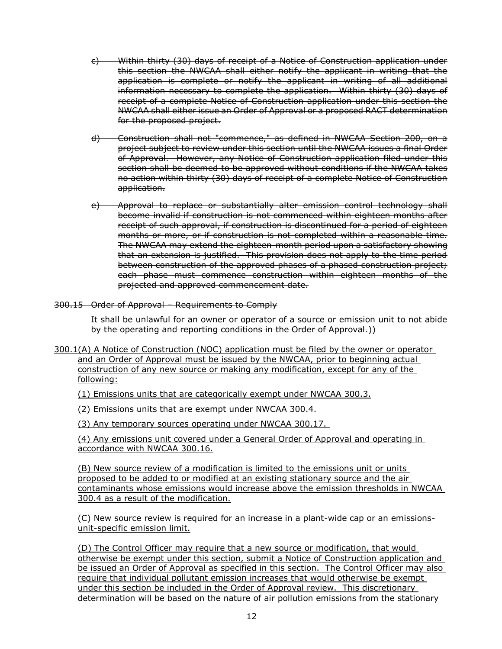- c) Within thirty (30) days of receipt of a Notice of Construction application under this section the NWCAA shall either notify the applicant in writing that the application is complete or notify the applicant in writing of all additional information necessary to complete the application. Within thirty (30) days of receipt of a complete Notice of Construction application under this section the NWCAA shall either issue an Order of Approval or a proposed RACT determination for the proposed project.
- d) Construction shall not "commence," as defined in NWCAA Section 200, on a project subject to review under this section until the NWCAA issues a final Order of Approval. However, any Notice of Construction application filed under this section shall be deemed to be approved without conditions if the NWCAA takes no action within thirty (30) days of receipt of a complete Notice of Construction application.
- e) Approval to replace or substantially alter emission control technology shall become invalid if construction is not commenced within eighteen months after receipt of such approval, if construction is discontinued for a period of eighteen months or more, or if construction is not completed within a reasonable time. The NWCAA may extend the eighteen-month period upon a satisfactory showing that an extension is justified. This provision does not apply to the time period between construction of the approved phases of a phased construction project; each phase must commence construction within eighteen months of the projected and approved commencement date.
- 300.15 Order of Approval Requirements to Comply

It shall be unlawful for an owner or operator of a source or emission unit to not abide by the operating and reporting conditions in the Order of Approval.))

300.1(A) A Notice of Construction (NOC) application must be filed by the owner or operator and an Order of Approval must be issued by the NWCAA, prior to beginning actual construction of any new source or making any modification, except for any of the following:

(1) Emissions units that are categorically exempt under NWCAA 300.3.

(2) Emissions units that are exempt under NWCAA 300.4.

(3) Any temporary sources operating under NWCAA 300.17.

(4) Any emissions unit covered under a General Order of Approval and operating in accordance with NWCAA 300.16.

(B) New source review of a modification is limited to the emissions unit or units proposed to be added to or modified at an existing stationary source and the air contaminants whose emissions would increase above the emission thresholds in NWCAA 300.4 as a result of the modification.

(C) New source review is required for an increase in a plant-wide cap or an emissionsunit-specific emission limit.

(D) The Control Officer may require that a new source or modification, that would otherwise be exempt under this section, submit a Notice of Construction application and be issued an Order of Approval as specified in this section. The Control Officer may also require that individual pollutant emission increases that would otherwise be exempt under this section be included in the Order of Approval review. This discretionary determination will be based on the nature of air pollution emissions from the stationary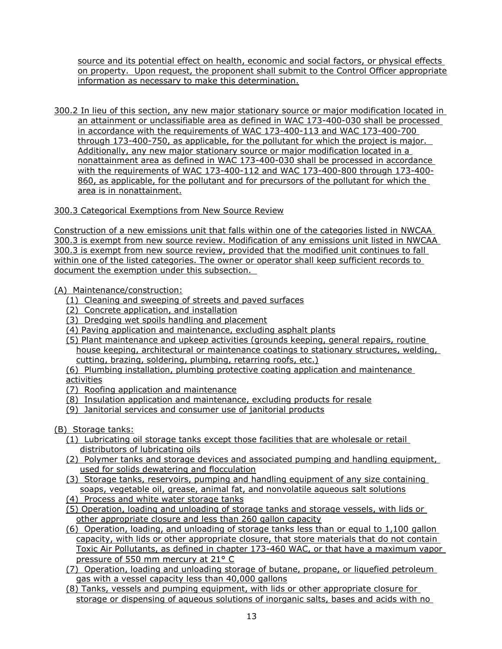source and its potential effect on health, economic and social factors, or physical effects on property. Upon request, the proponent shall submit to the Control Officer appropriate information as necessary to make this determination.

300.2 In lieu of this section, any new major stationary source or major modification located in an attainment or unclassifiable area as defined in WAC 173-400-030 shall be processed in accordance with the requirements of WAC 173-400-113 and WAC 173-400-700 through 173-400-750, as applicable, for the pollutant for which the project is major. Additionally, any new major stationary source or major modification located in a nonattainment area as defined in WAC 173-400-030 shall be processed in accordance with the requirements of WAC 173-400-112 and WAC 173-400-800 through 173-400- 860, as applicable, for the pollutant and for precursors of the pollutant for which the area is in nonattainment.

# 300.3 Categorical Exemptions from New Source Review

Construction of a new emissions unit that falls within one of the categories listed in NWCAA 300.3 is exempt from new source review. Modification of any emissions unit listed in NWCAA 300.3 is exempt from new source review, provided that the modified unit continues to fall within one of the listed categories. The owner or operator shall keep sufficient records to document the exemption under this subsection.

(A) Maintenance/construction:

- (1) Cleaning and sweeping of streets and paved surfaces
- (2) Concrete application, and installation
- (3) Dredging wet spoils handling and placement
- (4) Paving application and maintenance, excluding asphalt plants
- (5) Plant maintenance and upkeep activities (grounds keeping, general repairs, routine house keeping, architectural or maintenance coatings to stationary structures, welding, cutting, brazing, soldering, plumbing, retarring roofs, etc.)
- (6) Plumbing installation, plumbing protective coating application and maintenance activities
- (7) Roofing application and maintenance
- (8) Insulation application and maintenance, excluding products for resale
- (9) Janitorial services and consumer use of janitorial products
- (B) Storage tanks:
	- (1) Lubricating oil storage tanks except those facilities that are wholesale or retail distributors of lubricating oils
	- (2) Polymer tanks and storage devices and associated pumping and handling equipment, used for solids dewatering and flocculation
	- (3) Storage tanks, reservoirs, pumping and handling equipment of any size containing soaps, vegetable oil, grease, animal fat, and nonvolatile aqueous salt solutions
	- (4) Process and white water storage tanks
	- (5) Operation, loading and unloading of storage tanks and storage vessels, with lids or other appropriate closure and less than 260 gallon capacity
	- (6) Operation, loading, and unloading of storage tanks less than or equal to 1,100 gallon capacity, with lids or other appropriate closure, that store materials that do not contain Toxic Air Pollutants, as defined in chapter 173-460 WAC, or that have a maximum vapor pressure of 550 mm mercury at 21° C
	- (7) Operation, loading and unloading storage of butane, propane, or liquefied petroleum gas with a vessel capacity less than 40,000 gallons
	- (8) Tanks, vessels and pumping equipment, with lids or other appropriate closure for storage or dispensing of aqueous solutions of inorganic salts, bases and acids with no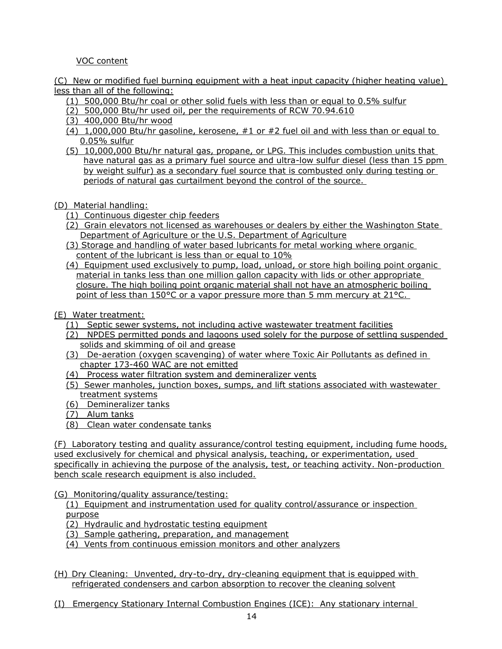VOC content

(C) New or modified fuel burning equipment with a heat input capacity (higher heating value) less than all of the following:

- (1) 500,000 Btu/hr coal or other solid fuels with less than or equal to 0.5% sulfur
- (2) 500,000 Btu/hr used oil, per the requirements of RCW 70.94.610
- (3) 400,000 Btu/hr wood
- (4) 1,000,000 Btu/hr gasoline, kerosene, #1 or #2 fuel oil and with less than or equal to 0.05% sulfur
- (5) 10,000,000 Btu/hr natural gas, propane, or LPG. This includes combustion units that have natural gas as a primary fuel source and ultra-low sulfur diesel (less than 15 ppm by weight sulfur) as a secondary fuel source that is combusted only during testing or periods of natural gas curtailment beyond the control of the source.
- (D) Material handling:
	- (1) Continuous digester chip feeders
	- (2) Grain elevators not licensed as warehouses or dealers by either the Washington State Department of Agriculture or the U.S. Department of Agriculture
	- (3) Storage and handling of water based lubricants for metal working where organic content of the lubricant is less than or equal to 10%
	- (4) Equipment used exclusively to pump, load, unload, or store high boiling point organic material in tanks less than one million gallon capacity with lids or other appropriate closure. The high boiling point organic material shall not have an atmospheric boiling point of less than 150°C or a vapor pressure more than 5 mm mercury at 21°C.

(E) Water treatment:

- (1) Septic sewer systems, not including active wastewater treatment facilities
- (2) NPDES permitted ponds and lagoons used solely for the purpose of settling suspended solids and skimming of oil and grease
- (3) De-aeration (oxygen scavenging) of water where Toxic Air Pollutants as defined in chapter 173-460 WAC are not emitted
- (4) Process water filtration system and demineralizer vents
- (5) Sewer manholes, junction boxes, sumps, and lift stations associated with wastewater treatment systems
- (6) Demineralizer tanks
- (7) Alum tanks
- (8) Clean water condensate tanks

(F) Laboratory testing and quality assurance/control testing equipment, including fume hoods, used exclusively for chemical and physical analysis, teaching, or experimentation, used specifically in achieving the purpose of the analysis, test, or teaching activity. Non-production bench scale research equipment is also included.

(G) Monitoring/quality assurance/testing:

(1) Equipment and instrumentation used for quality control/assurance or inspection purpose

- (2) Hydraulic and hydrostatic testing equipment
- (3) Sample gathering, preparation, and management
- (4) Vents from continuous emission monitors and other analyzers
- (H) Dry Cleaning: Unvented, dry-to-dry, dry-cleaning equipment that is equipped with refrigerated condensers and carbon absorption to recover the cleaning solvent
- (I) Emergency Stationary Internal Combustion Engines (ICE): Any stationary internal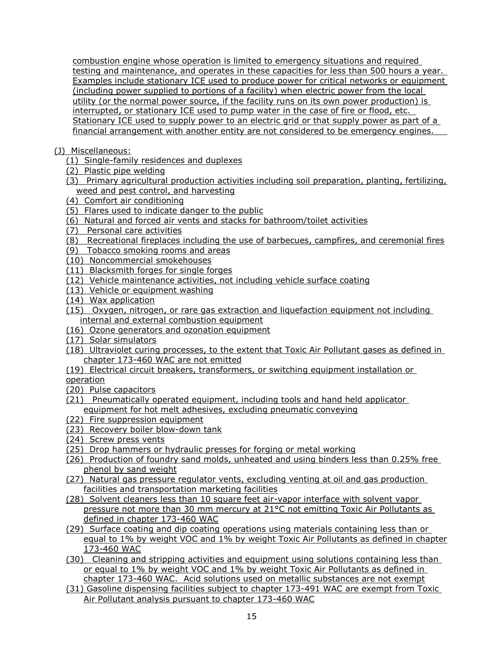combustion engine whose operation is limited to emergency situations and required testing and maintenance, and operates in these capacities for less than 500 hours a year. Examples include stationary ICE used to produce power for critical networks or equipment (including power supplied to portions of a facility) when electric power from the local utility (or the normal power source, if the facility runs on its own power production) is interrupted, or stationary ICE used to pump water in the case of fire or flood, etc. Stationary ICE used to supply power to an electric grid or that supply power as part of a financial arrangement with another entity are not considered to be emergency engines.

- (J) Miscellaneous:
	- (1) Single-family residences and duplexes
	- (2) Plastic pipe welding
	- (3) Primary agricultural production activities including soil preparation, planting, fertilizing, weed and pest control, and harvesting
	- (4) Comfort air conditioning
	- (5) Flares used to indicate danger to the public
	- (6) Natural and forced air vents and stacks for bathroom/toilet activities
	- (7) Personal care activities
	- (8) Recreational fireplaces including the use of barbecues, campfires, and ceremonial fires
	- (9) Tobacco smoking rooms and areas
	- (10) Noncommercial smokehouses
	- (11) Blacksmith forges for single forges
	- (12) Vehicle maintenance activities, not including vehicle surface coating
	- (13) Vehicle or equipment washing
	- (14) Wax application
	- (15) Oxygen, nitrogen, or rare gas extraction and liquefaction equipment not including internal and external combustion equipment
	- (16) Ozone generators and ozonation equipment
	- (17) Solar simulators
	- (18) Ultraviolet curing processes, to the extent that Toxic Air Pollutant gases as defined in chapter 173-460 WAC are not emitted
	- (19) Electrical circuit breakers, transformers, or switching equipment installation or

operation

- (20) Pulse capacitors
- (21) Pneumatically operated equipment, including tools and hand held applicator equipment for hot melt adhesives, excluding pneumatic conveying
- (22) Fire suppression equipment
- (23) Recovery boiler blow-down tank
- (24) Screw press vents
- (25) Drop hammers or hydraulic presses for forging or metal working
- (26) Production of foundry sand molds, unheated and using binders less than 0.25% free phenol by sand weight
- (27) Natural gas pressure regulator vents, excluding venting at oil and gas production facilities and transportation marketing facilities
- (28) Solvent cleaners less than 10 square feet air-vapor interface with solvent vapor pressure not more than 30 mm mercury at 21°C not emitting Toxic Air Pollutants as defined in chapter 173-460 WAC
- (29) Surface coating and dip coating operations using materials containing less than or equal to 1% by weight VOC and 1% by weight Toxic Air Pollutants as defined in chapter 173-460 WAC
- (30) Cleaning and stripping activities and equipment using solutions containing less than or equal to 1% by weight VOC and 1% by weight Toxic Air Pollutants as defined in chapter 173-460 WAC. Acid solutions used on metallic substances are not exempt
- (31) Gasoline dispensing facilities subject to chapter 173-491 WAC are exempt from Toxic Air Pollutant analysis pursuant to chapter 173-460 WAC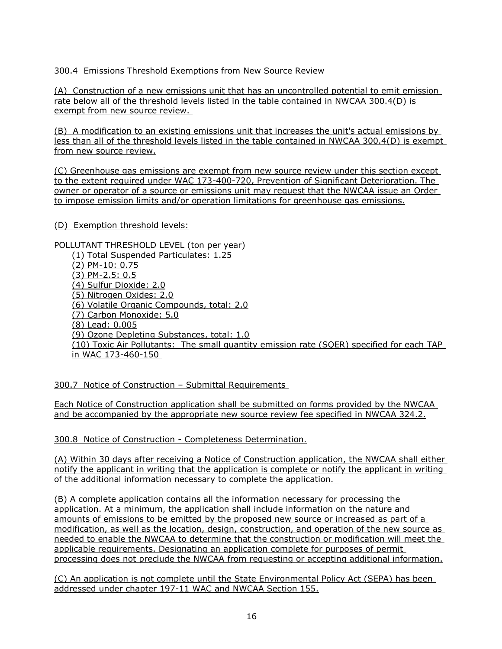# 300.4 Emissions Threshold Exemptions from New Source Review

(A) Construction of a new emissions unit that has an uncontrolled potential to emit emission rate below all of the threshold levels listed in the table contained in NWCAA 300.4(D) is exempt from new source review.

(B) A modification to an existing emissions unit that increases the unit's actual emissions by less than all of the threshold levels listed in the table contained in NWCAA 300.4(D) is exempt from new source review.

(C) Greenhouse gas emissions are exempt from new source review under this section except to the extent required under WAC 173-400-720, Prevention of Significant Deterioration. The owner or operator of a source or emissions unit may request that the NWCAA issue an Order to impose emission limits and/or operation limitations for greenhouse gas emissions.

(D) Exemption threshold levels:

POLLUTANT THRESHOLD LEVEL (ton per year)

(1) Total Suspended Particulates: 1.25 (2) PM-10: 0.75 (3) PM-2.5: 0.5 (4) Sulfur Dioxide: 2.0 (5) Nitrogen Oxides: 2.0 (6) Volatile Organic Compounds, total: 2.0 (7) Carbon Monoxide: 5.0 (8) Lead: 0.005 (9) Ozone Depleting Substances, total: 1.0 (10) Toxic Air Pollutants: The small quantity emission rate (SQER) specified for each TAP in WAC 173-460-150

300.7 Notice of Construction – Submittal Requirements

Each Notice of Construction application shall be submitted on forms provided by the NWCAA and be accompanied by the appropriate new source review fee specified in NWCAA 324.2.

300.8 Notice of Construction - Completeness Determination.

(A) Within 30 days after receiving a Notice of Construction application, the NWCAA shall either notify the applicant in writing that the application is complete or notify the applicant in writing of the additional information necessary to complete the application.

(B) A complete application contains all the information necessary for processing the application. At a minimum, the application shall include information on the nature and amounts of emissions to be emitted by the proposed new source or increased as part of a modification, as well as the location, design, construction, and operation of the new source as needed to enable the NWCAA to determine that the construction or modification will meet the applicable requirements. Designating an application complete for purposes of permit processing does not preclude the NWCAA from requesting or accepting additional information.

(C) An application is not complete until the State Environmental Policy Act (SEPA) has been addressed under chapter 197-11 WAC and NWCAA Section 155.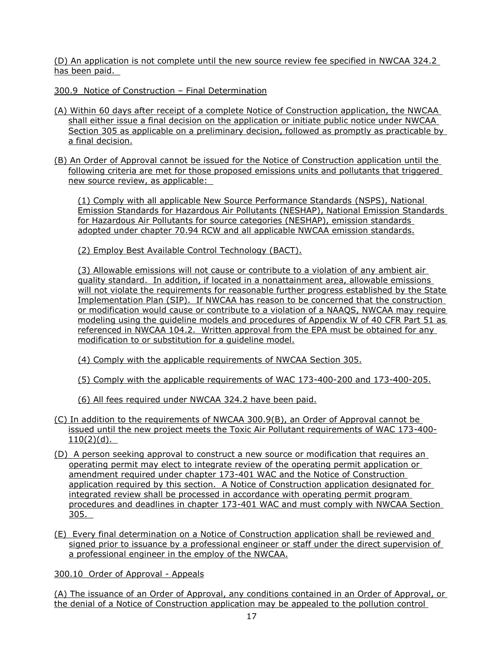(D) An application is not complete until the new source review fee specified in NWCAA 324.2 has been paid.

300.9 Notice of Construction – Final Determination

- (A) Within 60 days after receipt of a complete Notice of Construction application, the NWCAA shall either issue a final decision on the application or initiate public notice under NWCAA Section 305 as applicable on a preliminary decision, followed as promptly as practicable by a final decision.
- (B) An Order of Approval cannot be issued for the Notice of Construction application until the following criteria are met for those proposed emissions units and pollutants that triggered new source review, as applicable:

(1) Comply with all applicable New Source Performance Standards (NSPS), National Emission Standards for Hazardous Air Pollutants (NESHAP), National Emission Standards for Hazardous Air Pollutants for source categories (NESHAP), emission standards adopted under chapter 70.94 RCW and all applicable NWCAA emission standards.

(2) Employ Best Available Control Technology (BACT).

(3) Allowable emissions will not cause or contribute to a violation of any ambient air quality standard. In addition, if located in a nonattainment area, allowable emissions will not violate the requirements for reasonable further progress established by the State Implementation Plan (SIP). If NWCAA has reason to be concerned that the construction or modification would cause or contribute to a violation of a NAAQS, NWCAA may require modeling using the guideline models and procedures of Appendix W of 40 CFR Part 51 as referenced in NWCAA 104.2. Written approval from the EPA must be obtained for any modification to or substitution for a guideline model.

(4) Comply with the applicable requirements of NWCAA Section 305.

(5) Comply with the applicable requirements of WAC 173-400-200 and 173-400-205.

(6) All fees required under NWCAA 324.2 have been paid.

- (C) In addition to the requirements of NWCAA 300.9(B), an Order of Approval cannot be issued until the new project meets the Toxic Air Pollutant requirements of WAC 173-400-  $110(2)(d)$ .
- (D) A person seeking approval to construct a new source or modification that requires an operating permit may elect to integrate review of the operating permit application or amendment required under chapter 173-401 WAC and the Notice of Construction application required by this section. A Notice of Construction application designated for integrated review shall be processed in accordance with operating permit program procedures and deadlines in chapter 173-401 WAC and must comply with NWCAA Section 305.
- (E) Every final determination on a Notice of Construction application shall be reviewed and signed prior to issuance by a professional engineer or staff under the direct supervision of a professional engineer in the employ of the NWCAA.

300.10 Order of Approval - Appeals

(A) The issuance of an Order of Approval, any conditions contained in an Order of Approval, or the denial of a Notice of Construction application may be appealed to the pollution control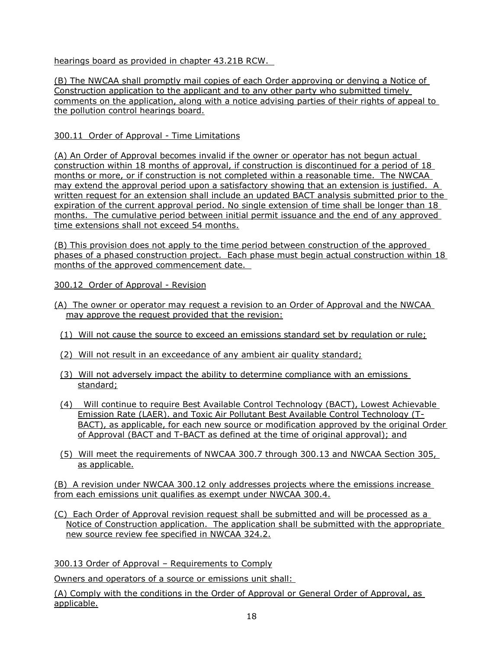hearings board as provided in chapter 43.21B RCW.

(B) The NWCAA shall promptly mail copies of each Order approving or denying a Notice of Construction application to the applicant and to any other party who submitted timely comments on the application, along with a notice advising parties of their rights of appeal to the pollution control hearings board.

# 300.11 Order of Approval - Time Limitations

(A) An Order of Approval becomes invalid if the owner or operator has not begun actual construction within 18 months of approval, if construction is discontinued for a period of 18 months or more, or if construction is not completed within a reasonable time. The NWCAA may extend the approval period upon a satisfactory showing that an extension is justified. A written request for an extension shall include an updated BACT analysis submitted prior to the expiration of the current approval period. No single extension of time shall be longer than 18 months. The cumulative period between initial permit issuance and the end of any approved time extensions shall not exceed 54 months.

(B) This provision does not apply to the time period between construction of the approved phases of a phased construction project. Each phase must begin actual construction within 18 months of the approved commencement date.

300.12 Order of Approval - Revision

- (A) The owner or operator may request a revision to an Order of Approval and the NWCAA may approve the request provided that the revision:
	- (1) Will not cause the source to exceed an emissions standard set by regulation or rule;
	- (2) Will not result in an exceedance of any ambient air quality standard;
	- (3) Will not adversely impact the ability to determine compliance with an emissions standard;
	- (4) Will continue to require Best Available Control Technology (BACT), Lowest Achievable Emission Rate (LAER). and Toxic Air Pollutant Best Available Control Technology (T-BACT), as applicable, for each new source or modification approved by the original Order of Approval (BACT and T-BACT as defined at the time of original approval); and
	- (5) Will meet the requirements of NWCAA 300.7 through 300.13 and NWCAA Section 305, as applicable.

(B) A revision under NWCAA 300.12 only addresses projects where the emissions increase from each emissions unit qualifies as exempt under NWCAA 300.4.

(C) Each Order of Approval revision request shall be submitted and will be processed as a Notice of Construction application. The application shall be submitted with the appropriate new source review fee specified in NWCAA 324.2.

300.13 Order of Approval – Requirements to Comply

Owners and operators of a source or emissions unit shall:

(A) Comply with the conditions in the Order of Approval or General Order of Approval, as applicable.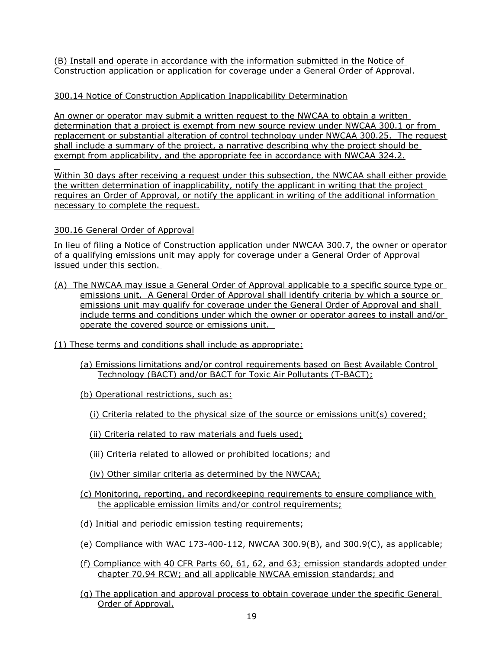(B) Install and operate in accordance with the information submitted in the Notice of Construction application or application for coverage under a General Order of Approval.

# 300.14 Notice of Construction Application Inapplicability Determination

An owner or operator may submit a written request to the NWCAA to obtain a written determination that a project is exempt from new source review under NWCAA 300.1 or from replacement or substantial alteration of control technology under NWCAA 300.25. The request shall include a summary of the project, a narrative describing why the project should be exempt from applicability, and the appropriate fee in accordance with NWCAA 324.2.

 Within 30 days after receiving a request under this subsection, the NWCAA shall either provide the written determination of inapplicability, notify the applicant in writing that the project requires an Order of Approval, or notify the applicant in writing of the additional information necessary to complete the request.

# 300.16 General Order of Approval

In lieu of filing a Notice of Construction application under NWCAA 300.7, the owner or operator of a qualifying emissions unit may apply for coverage under a General Order of Approval issued under this section.

- (A) The NWCAA may issue a General Order of Approval applicable to a specific source type or emissions unit. A General Order of Approval shall identify criteria by which a source or emissions unit may qualify for coverage under the General Order of Approval and shall include terms and conditions under which the owner or operator agrees to install and/or operate the covered source or emissions unit.
- (1) These terms and conditions shall include as appropriate:
	- (a) Emissions limitations and/or control requirements based on Best Available Control Technology (BACT) and/or BACT for Toxic Air Pollutants (T-BACT);
	- (b) Operational restrictions, such as:
		- (i) Criteria related to the physical size of the source or emissions unit(s) covered;

(ii) Criteria related to raw materials and fuels used;

- (iii) Criteria related to allowed or prohibited locations; and
- (iv) Other similar criteria as determined by the NWCAA;
- (c) Monitoring, reporting, and recordkeeping requirements to ensure compliance with the applicable emission limits and/or control requirements;
- (d) Initial and periodic emission testing requirements;
- (e) Compliance with WAC  $173-400-112$ , NWCAA 300.9(B), and 300.9(C), as applicable;
- (f) Compliance with 40 CFR Parts 60, 61, 62, and 63; emission standards adopted under chapter 70.94 RCW; and all applicable NWCAA emission standards; and
- (g) The application and approval process to obtain coverage under the specific General Order of Approval.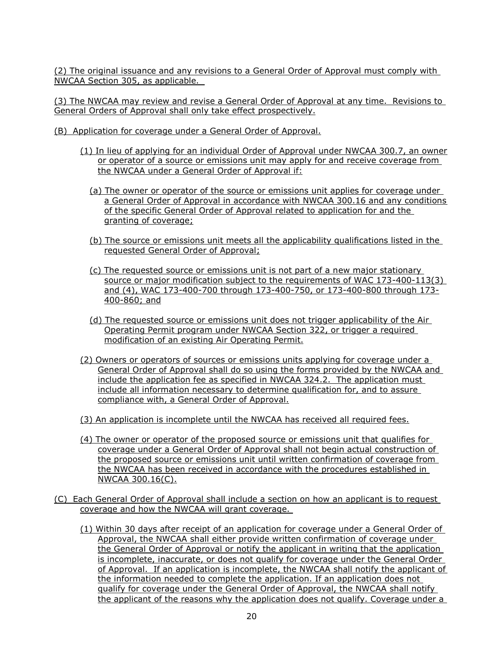(2) The original issuance and any revisions to a General Order of Approval must comply with NWCAA Section 305, as applicable.

(3) The NWCAA may review and revise a General Order of Approval at any time. Revisions to General Orders of Approval shall only take effect prospectively.

- (B) Application for coverage under a General Order of Approval.
	- (1) In lieu of applying for an individual Order of Approval under NWCAA 300.7, an owner or operator of a source or emissions unit may apply for and receive coverage from the NWCAA under a General Order of Approval if:
		- (a) The owner or operator of the source or emissions unit applies for coverage under a General Order of Approval in accordance with NWCAA 300.16 and any conditions of the specific General Order of Approval related to application for and the granting of coverage;
		- (b) The source or emissions unit meets all the applicability qualifications listed in the requested General Order of Approval;
		- (c) The requested source or emissions unit is not part of a new major stationary source or major modification subject to the requirements of WAC 173-400-113(3) and (4), WAC 173-400-700 through 173-400-750, or 173-400-800 through 173- 400-860; and
		- (d) The requested source or emissions unit does not trigger applicability of the Air Operating Permit program under NWCAA Section 322, or trigger a required modification of an existing Air Operating Permit.
	- (2) Owners or operators of sources or emissions units applying for coverage under a General Order of Approval shall do so using the forms provided by the NWCAA and include the application fee as specified in NWCAA 324.2. The application must include all information necessary to determine qualification for, and to assure compliance with, a General Order of Approval.
	- (3) An application is incomplete until the NWCAA has received all required fees.
	- (4) The owner or operator of the proposed source or emissions unit that qualifies for coverage under a General Order of Approval shall not begin actual construction of the proposed source or emissions unit until written confirmation of coverage from the NWCAA has been received in accordance with the procedures established in NWCAA 300.16(C).
- (C) Each General Order of Approval shall include a section on how an applicant is to request coverage and how the NWCAA will grant coverage.
	- (1) Within 30 days after receipt of an application for coverage under a General Order of Approval, the NWCAA shall either provide written confirmation of coverage under the General Order of Approval or notify the applicant in writing that the application is incomplete, inaccurate, or does not qualify for coverage under the General Order of Approval. If an application is incomplete, the NWCAA shall notify the applicant of the information needed to complete the application. If an application does not qualify for coverage under the General Order of Approval, the NWCAA shall notify the applicant of the reasons why the application does not qualify. Coverage under a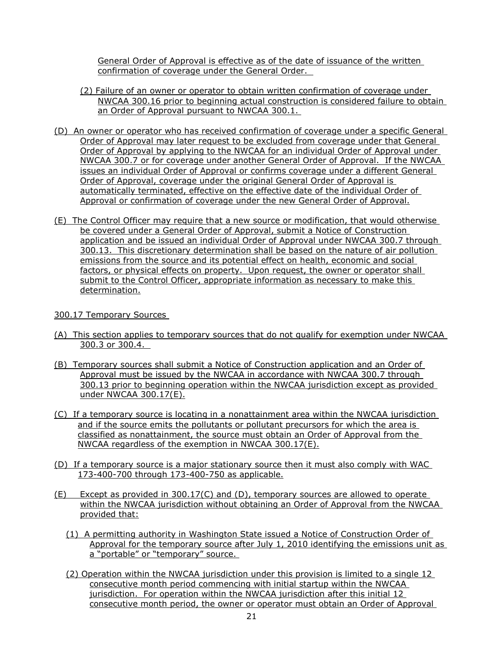General Order of Approval is effective as of the date of issuance of the written confirmation of coverage under the General Order.

- (2) Failure of an owner or operator to obtain written confirmation of coverage under NWCAA 300.16 prior to beginning actual construction is considered failure to obtain an Order of Approval pursuant to NWCAA 300.1.
- (D) An owner or operator who has received confirmation of coverage under a specific General Order of Approval may later request to be excluded from coverage under that General Order of Approval by applying to the NWCAA for an individual Order of Approval under NWCAA 300.7 or for coverage under another General Order of Approval. If the NWCAA issues an individual Order of Approval or confirms coverage under a different General Order of Approval, coverage under the original General Order of Approval is automatically terminated, effective on the effective date of the individual Order of Approval or confirmation of coverage under the new General Order of Approval.
- (E) The Control Officer may require that a new source or modification, that would otherwise be covered under a General Order of Approval, submit a Notice of Construction application and be issued an individual Order of Approval under NWCAA 300.7 through 300.13. This discretionary determination shall be based on the nature of air pollution emissions from the source and its potential effect on health, economic and social factors, or physical effects on property. Upon request, the owner or operator shall submit to the Control Officer, appropriate information as necessary to make this determination.

### 300.17 Temporary Sources

- (A) This section applies to temporary sources that do not qualify for exemption under NWCAA 300.3 or 300.4.
- (B) Temporary sources shall submit a Notice of Construction application and an Order of Approval must be issued by the NWCAA in accordance with NWCAA 300.7 through 300.13 prior to beginning operation within the NWCAA jurisdiction except as provided under NWCAA 300.17(E).
- (C) If a temporary source is locating in a nonattainment area within the NWCAA jurisdiction and if the source emits the pollutants or pollutant precursors for which the area is classified as nonattainment, the source must obtain an Order of Approval from the NWCAA regardless of the exemption in NWCAA 300.17(E).
- (D) If a temporary source is a major stationary source then it must also comply with WAC 173-400-700 through 173-400-750 as applicable.
- $(E)$  Except as provided in 300.17(C) and (D), temporary sources are allowed to operate within the NWCAA jurisdiction without obtaining an Order of Approval from the NWCAA provided that:
	- (1) A permitting authority in Washington State issued a Notice of Construction Order of Approval for the temporary source after July 1, 2010 identifying the emissions unit as a "portable" or "temporary" source.
	- (2) Operation within the NWCAA jurisdiction under this provision is limited to a single 12 consecutive month period commencing with initial startup within the NWCAA jurisdiction. For operation within the NWCAA jurisdiction after this initial 12 consecutive month period, the owner or operator must obtain an Order of Approval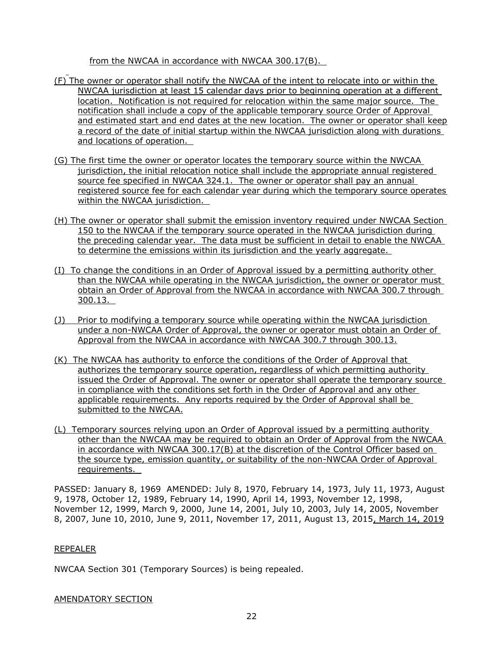from the NWCAA in accordance with NWCAA 300.17(B).

- (F) The owner or operator shall notify the NWCAA of the intent to relocate into or within the NWCAA jurisdiction at least 15 calendar days prior to beginning operation at a different location. Notification is not required for relocation within the same major source. The notification shall include a copy of the applicable temporary source Order of Approval and estimated start and end dates at the new location. The owner or operator shall keep a record of the date of initial startup within the NWCAA jurisdiction along with durations and locations of operation.
- (G) The first time the owner or operator locates the temporary source within the NWCAA jurisdiction, the initial relocation notice shall include the appropriate annual registered source fee specified in NWCAA 324.1. The owner or operator shall pay an annual registered source fee for each calendar year during which the temporary source operates within the NWCAA jurisdiction.
- (H) The owner or operator shall submit the emission inventory required under NWCAA Section 150 to the NWCAA if the temporary source operated in the NWCAA jurisdiction during the preceding calendar year. The data must be sufficient in detail to enable the NWCAA to determine the emissions within its jurisdiction and the yearly aggregate.
- (I) To change the conditions in an Order of Approval issued by a permitting authority other than the NWCAA while operating in the NWCAA jurisdiction, the owner or operator must obtain an Order of Approval from the NWCAA in accordance with NWCAA 300.7 through 300.13.
- (J) Prior to modifying a temporary source while operating within the NWCAA jurisdiction under a non-NWCAA Order of Approval, the owner or operator must obtain an Order of Approval from the NWCAA in accordance with NWCAA 300.7 through 300.13.
- (K) The NWCAA has authority to enforce the conditions of the Order of Approval that authorizes the temporary source operation, regardless of which permitting authority issued the Order of Approval. The owner or operator shall operate the temporary source in compliance with the conditions set forth in the Order of Approval and any other applicable requirements. Any reports required by the Order of Approval shall be submitted to the NWCAA.
- (L) Temporary sources relying upon an Order of Approval issued by a permitting authority other than the NWCAA may be required to obtain an Order of Approval from the NWCAA in accordance with NWCAA 300.17(B) at the discretion of the Control Officer based on the source type, emission quantity, or suitability of the non-NWCAA Order of Approval requirements.

PASSED: January 8, 1969 AMENDED: July 8, 1970, February 14, 1973, July 11, 1973, August 9, 1978, October 12, 1989, February 14, 1990, April 14, 1993, November 12, 1998, November 12, 1999, March 9, 2000, June 14, 2001, July 10, 2003, July 14, 2005, November 8, 2007, June 10, 2010, June 9, 2011, November 17, 2011, August 13, 2015, March 14, 2019

### REPEALER

NWCAA Section 301 (Temporary Sources) is being repealed.

### AMENDATORY SECTION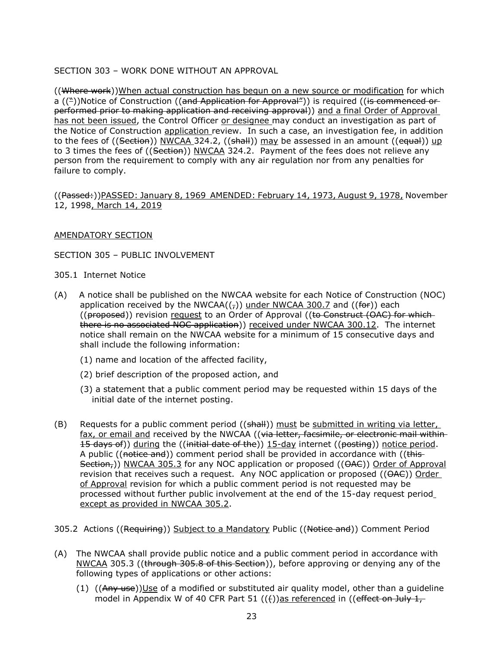## SECTION 303 – WORK DONE WITHOUT AN APPROVAL

((Where work))When actual construction has begun on a new source or modification for which a (("))Notice of Construction ((and Application for Approval")) is required ((is commenced or performed prior to making application and receiving approval)) and a final Order of Approval has not been issued, the Control Officer or designee may conduct an investigation as part of the Notice of Construction application review. In such a case, an investigation fee, in addition to the fees of ((Section)) NWCAA 324.2, ((shall)) may be assessed in an amount ((equal)) up to 3 times the fees of ((Section)) NWCAA 324.2. Payment of the fees does not relieve any person from the requirement to comply with any air regulation nor from any penalties for failure to comply.

((Passed:))PASSED: January 8, 1969 AMENDED: February 14, 1973, August 9, 1978, November 12, 1998, March 14, 2019

### AMENDATORY SECTION

### SECTION 305 – PUBLIC INVOLVEMENT

305.1 Internet Notice

- (A) A notice shall be published on the NWCAA website for each Notice of Construction (NOC) application received by the NWCAA $(\tau)$ ) under NWCAA 300.7 and  $((\theta + \epsilon)$  each ((proposed)) revision request to an Order of Approval ((to Construct (OAC) for which there is no associated NOC application)) received under NWCAA 300.12. The internet notice shall remain on the NWCAA website for a minimum of 15 consecutive days and shall include the following information:
	- (1) name and location of the affected facility,
	- (2) brief description of the proposed action, and
	- (3) a statement that a public comment period may be requested within 15 days of the initial date of the internet posting.
- (B) Requests for a public comment period  $((shall))$  must be submitted in writing via letter, fax, or email and received by the NWCAA ((via letter, facsimile, or electronic mail within 15 days of)) during the ((initial date of the)) 15-day internet ((posting)) notice period. A public ((notice and)) comment period shall be provided in accordance with ((this-Section,)) NWCAA 305.3 for any NOC application or proposed ((OAC)) Order of Approval revision that receives such a request. Any NOC application or proposed  $((\Theta AC))$  Order of Approval revision for which a public comment period is not requested may be processed without further public involvement at the end of the 15-day request period except as provided in NWCAA 305.2.
- 305.2 Actions ((Requiring)) Subject to a Mandatory Public ((Notice and)) Comment Period
- (A) The NWCAA shall provide public notice and a public comment period in accordance with NWCAA 305.3 ((through 305.8 of this Section)), before approving or denying any of the following types of applications or other actions:
	- $(1)$  ((Any use))Use of a modified or substituted air quality model, other than a quideline model in Appendix W of 40 CFR Part 51  $((f))$ as referenced in ((effect on July 1,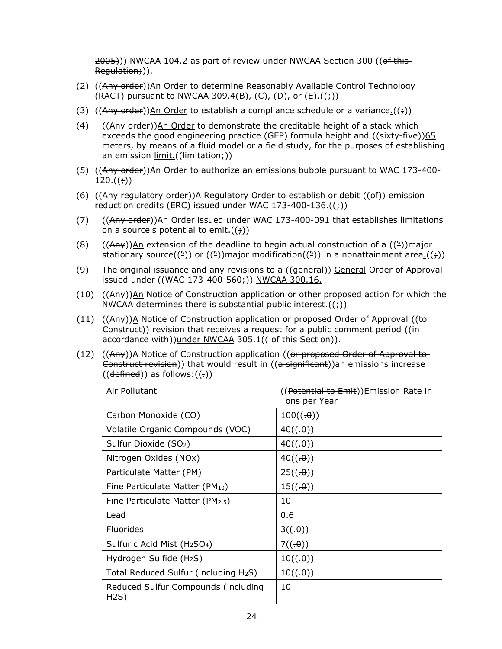2005)) NWCAA 104.2 as part of review under NWCAA Section 300 ((of this Regulation;)).

- (2) ((Any order))An Order to determine Reasonably Available Control Technology (RACT) pursuant to NWCAA 309.4(B), (C), (D), or  $(E)$ .  $((\frac{1}{7}))$
- (3) ((Any order))An Order to establish a compliance schedule or a variance.(( $\div$ ))
- $(4)$   $((Any \ order))$ An Order to demonstrate the creditable height of a stack which exceeds the good engineering practice (GEP) formula height and  $((sixty-five))65$ meters, by means of a fluid model or a field study, for the purposes of establishing an emission limit.((limitation;))
- (5) ((Any order))An Order to authorize an emissions bubble pursuant to WAC 173-400-  $120.((t))$
- (6) ((Any regulatory order))A Regulatory Order to establish or debit (( $\theta$ f)) emission reduction credits (ERC) issued under WAC  $173-400-136.((\frac{1}{7}))$
- (7)  $((Any order)$ )An Order issued under WAC 173-400-091 that establishes limitations on a source's potential to emit $\cdot((\frac{1}{t}))$
- (8) ((Any))An extension of the deadline to begin actual construction of a ( $\binom{n}{k}$ )major stationary source( $(\frac{\pi}{2})$ ) or  $((\frac{\pi}{2})$ ) major modification( $(\frac{\pi}{2})$ ) in a nonattainment area.( $(\frac{\pi}{2})$ )
- (9) The original issuance and any revisions to a ((general)) General Order of Approval issued under ((WAC 173-400-560;)) NWCAA 300.16.
- (10) ((Any))An Notice of Construction application or other proposed action for which the NWCAA determines there is substantial public interest. $((\frac{1}{i}))$
- (11)  $((A<sub>HY</sub>))<sub>A</sub>$  Notice of Construction application or proposed Order of Approval ((to-Construct)) revision that receives a request for a public comment period ((inaccordance with))under NWCAA 305.1((-of this Section)).
- (12) ((Any))A Notice of Construction application ((or proposed Order of Approval to-Construct revision)) that would result in  $((a - b)$  significant)) $an$  emissions increase  $((\text{defined}))$  as follows: $((.)$

| Air Pollutant                                        | ((Potential to Emit)) Emission Rate in<br>Tons per Year |
|------------------------------------------------------|---------------------------------------------------------|
| Carbon Monoxide (CO)                                 | 100((.0))                                               |
| Volatile Organic Compounds (VOC)                     | 40((.0))                                                |
| Sulfur Dioxide (SO2)                                 | 40((.0))                                                |
| Nitrogen Oxides (NOx)                                | 40((.0))                                                |
| Particulate Matter (PM)                              | 25((.0))                                                |
| Fine Particulate Matter (PM10)                       | 15((.0))                                                |
| <b>Fine Particulate Matter (PM2.5)</b>               | <u> 10</u>                                              |
| Lead                                                 | 0.6                                                     |
| <b>Fluorides</b>                                     | 3((.0))                                                 |
| Sulfuric Acid Mist (H <sub>2</sub> SO <sub>4</sub> ) | 7((.0))                                                 |
| Hydrogen Sulfide (H <sub>2</sub> S)                  | 10((.0))                                                |
| Total Reduced Sulfur (including H <sub>2</sub> S)    | 10((.0))                                                |
| Reduced Sulfur Compounds (including<br><u>H2S)</u>   | <u>10</u>                                               |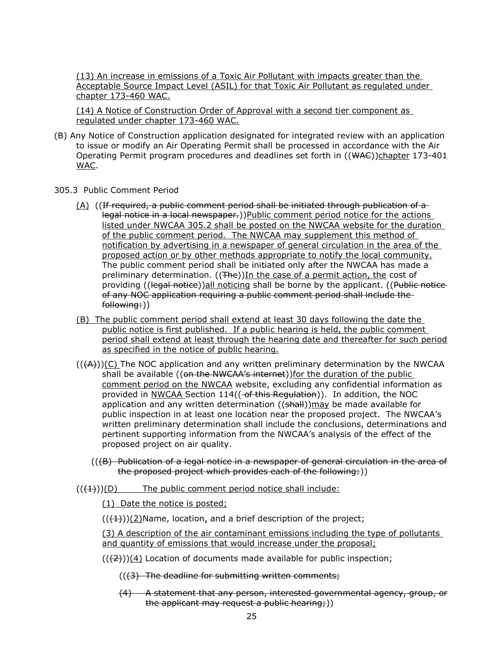(13) An increase in emissions of a Toxic Air Pollutant with impacts greater than the Acceptable Source Impact Level (ASIL) for that Toxic Air Pollutant as regulated under chapter 173-460 WAC.

(14) A Notice of Construction Order of Approval with a second tier component as regulated under chapter 173-460 WAC.

- (B) Any Notice of Construction application designated for integrated review with an application to issue or modify an Air Operating Permit shall be processed in accordance with the Air Operating Permit program procedures and deadlines set forth in ((WAC))chapter 173-401 WAC.
- 305.3 Public Comment Period
	- $(A)$  ((If required, a public comment period shall be initiated through publication of a legal notice in a local newspaper.))Public comment period notice for the actions listed under NWCAA 305.2 shall be posted on the NWCAA website for the duration of the public comment period. The NWCAA may supplement this method of notification by advertising in a newspaper of general circulation in the area of the proposed action or by other methods appropriate to notify the local community. The public comment period shall be initiated only after the NWCAA has made a preliminary determination. ((The))In the case of a permit action, the cost of providing ((legal notice))all noticing shall be borne by the applicant. ((Public noticeof any NOC application requiring a public comment period shall include the following:))
	- (B) The public comment period shall extend at least 30 days following the date the public notice is first published. If a public hearing is held, the public comment period shall extend at least through the hearing date and thereafter for such period as specified in the notice of public hearing.
	- $((A)))(C)$  The NOC application and any written preliminary determination by the NWCAA shall be available ((on the NWCAA's internet))for the duration of the public comment period on the NWCAA website, excluding any confidential information as provided in NWCAA Section 114((-of this Regulation)). In addition, the NOC application and any written determination ((shall))may be made available for public inspection in at least one location near the proposed project. The NWCAA's written preliminary determination shall include the conclusions, determinations and pertinent supporting information from the NWCAA's analysis of the effect of the proposed project on air quality.
		- $((B)$  Publication of a legal notice in a newspaper of general circulation in the area of the proposed project which provides each of the following:))
	- $((+1))$ (D) The public comment period notice shall include:
		- (1) Date the notice is posted;

 $((+1))$ (2)Name, location, and a brief description of the project;

(3) A description of the air contaminant emissions including the type of pollutants and quantity of emissions that would increase under the proposal;

 $((2))$ (4) Location of documents made available for public inspection;

 $((3)$  The deadline for submitting written comments;

(4) A statement that any person, interested governmental agency, group, or the applicant may request a public hearing;))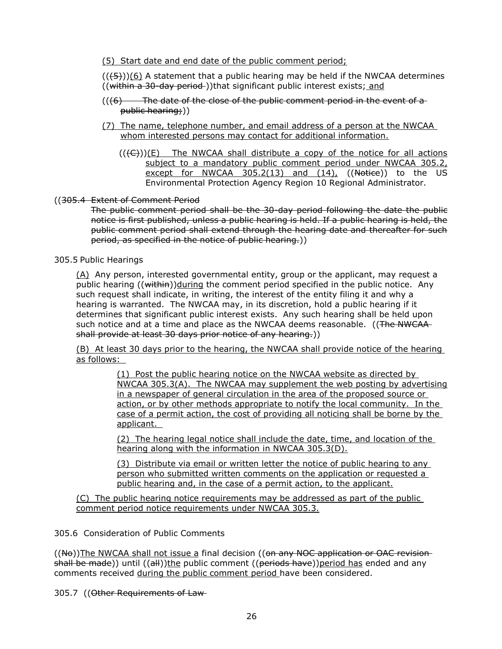(5) Start date and end date of the public comment period;

 $((\overline{5}))(6)$  A statement that a public hearing may be held if the NWCAA determines ((within a 30-day period-))that significant public interest exists; and

- $((6)$  The date of the close of the public comment period in the event of a public hearing;))
- (7) The name, telephone number, and email address of a person at the NWCAA whom interested persons may contact for additional information.
	- $((\langle \Theta \rangle)(E)$  The NWCAA shall distribute a copy of the notice for all actions subject to a mandatory public comment period under NWCAA 305.2, except for NWCAA  $305.2(13)$  and  $(14)$ ,  $($ Notice)) to the US Environmental Protection Agency Region 10 Regional Administrator.

## ((305.4 Extent of Comment Period

The public comment period shall be the 30-day period following the date the public notice is first published, unless a public hearing is held. If a public hearing is held, the public comment period shall extend through the hearing date and thereafter for such period, as specified in the notice of public hearing.))

## 305.5 Public Hearings

(A) Any person, interested governmental entity, group or the applicant, may request a public hearing ((within))during the comment period specified in the public notice. Any such request shall indicate, in writing, the interest of the entity filing it and why a hearing is warranted. The NWCAA may, in its discretion, hold a public hearing if it determines that significant public interest exists. Any such hearing shall be held upon such notice and at a time and place as the NWCAA deems reasonable. ((The NWCAAshall provide at least 30 days prior notice of any hearing.))

(B) At least 30 days prior to the hearing, the NWCAA shall provide notice of the hearing as follows:

> (1) Post the public hearing notice on the NWCAA website as directed by NWCAA 305.3(A). The NWCAA may supplement the web posting by advertising in a newspaper of general circulation in the area of the proposed source or action, or by other methods appropriate to notify the local community. In the case of a permit action, the cost of providing all noticing shall be borne by the applicant.

(2) The hearing legal notice shall include the date, time, and location of the hearing along with the information in NWCAA 305.3(D).

(3) Distribute via email or written letter the notice of public hearing to any person who submitted written comments on the application or requested a public hearing and, in the case of a permit action, to the applicant.

(C) The public hearing notice requirements may be addressed as part of the public comment period notice requirements under NWCAA 305.3.

305.6 Consideration of Public Comments

 $((N<sub>0</sub>))$ The NWCAA shall not issue a final decision  $((on any NOC application or OAC revision)$ shall be made)) until ((all))the public comment ((periods have))period has ended and any comments received during the public comment period have been considered.

305.7 ((Other Requirements of Law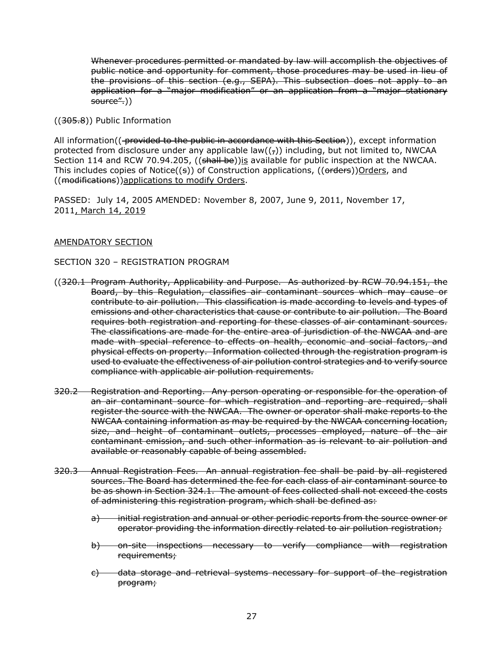Whenever procedures permitted or mandated by law will accomplish the objectives of public notice and opportunity for comment, those procedures may be used in lieu of the provisions of this section (e.g., SEPA). This subsection does not apply to an application for a "major modification" or an application from a "major stationary source".))

((305.8)) Public Information

All information((-provided to the public in accordance with this Section)), except information protected from disclosure under any applicable law( $(\tau)$ ) including, but not limited to, NWCAA Section 114 and RCW 70.94.205, ((shall be)) is available for public inspection at the NWCAA. This includes copies of Notice $((s))$  of Construction applications,  $((\text{orders}))$ Orders, and ((modifications))applications to modify Orders.

PASSED: July 14, 2005 AMENDED: November 8, 2007, June 9, 2011, November 17, 2011, March 14, 2019

## AMENDATORY SECTION

SECTION 320 – REGISTRATION PROGRAM

- ((320.1 Program Authority, Applicability and Purpose. As authorized by RCW 70.94.151, the Board, by this Regulation, classifies air contaminant sources which may cause or contribute to air pollution. This classification is made according to levels and types of emissions and other characteristics that cause or contribute to air pollution. The Board requires both registration and reporting for these classes of air contaminant sources. The classifications are made for the entire area of jurisdiction of the NWCAA and are made with special reference to effects on health, economic and social factors, and physical effects on property. Information collected through the registration program is used to evaluate the effectiveness of air pollution control strategies and to verify source compliance with applicable air pollution requirements.
- 320.2 Registration and Reporting. Any person operating or responsible for the operation of an air contaminant source for which registration and reporting are required, shall register the source with the NWCAA. The owner or operator shall make reports to the NWCAA containing information as may be required by the NWCAA concerning location, size, and height of contaminant outlets, processes employed, nature of the air contaminant emission, and such other information as is relevant to air pollution and available or reasonably capable of being assembled.
- 320.3 Annual Registration Fees. An annual registration fee shall be paid by all registered sources. The Board has determined the fee for each class of air contaminant source to be as shown in Section 324.1. The amount of fees collected shall not exceed the costs of administering this registration program, which shall be defined as:
	- a) initial registration and annual or other periodic reports from the source owner or operator providing the information directly related to air pollution registration;
	- b) on-site inspections necessary to verify compliance with registration requirements;
	- c) data storage and retrieval systems necessary for support of the registration program;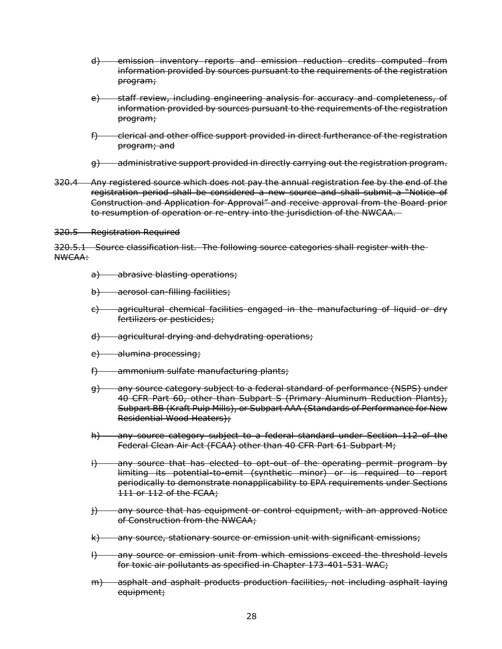- d) emission inventory reports and emission reduction credits computed from information provided by sources pursuant to the requirements of the registration program;
- e) staff review, including engineering analysis for accuracy and completeness, of information provided by sources pursuant to the requirements of the registration program;
- f) clerical and other office support provided in direct furtherance of the registration program; and
- g) administrative support provided in directly carrying out the registration program.
- 320.4 Any registered source which does not pay the annual registration fee by the end of the registration period shall be considered a new source and shall submit a "Notice of Construction and Application for Approval" and receive approval from the Board prior to resumption of operation or re-entry into the jurisdiction of the NWCAA.

320.5 Registration Required

320.5.1 Source classification list. The following source categories shall register with the NWCAA:

- a) abrasive blasting operations;
- b) aerosol can-filling facilities;
- c) agricultural chemical facilities engaged in the manufacturing of liquid or dry fertilizers or pesticides;
- d) agricultural drying and dehydrating operations;
- e) alumina processing;
- f) ammonium sulfate manufacturing plants;
- g) any source category subject to a federal standard of performance (NSPS) under 40 CFR Part 60, other than Subpart S (Primary Aluminum Reduction Plants), Subpart BB (Kraft Pulp Mills), or Subpart AAA (Standards of Performance for New Residential Wood Heaters);
- h) any source category subject to a federal standard under Section 112 of the Federal Clean Air Act (FCAA) other than 40 CFR Part 61 Subpart M;
- i) any source that has elected to opt-out of the operating permit program by limiting its potential-to-emit (synthetic minor) or is required to report periodically to demonstrate nonapplicability to EPA requirements under Sections 111 or 112 of the FCAA;
- j) any source that has equipment or control equipment, with an approved Notice of Construction from the NWCAA;
- k) any source, stationary source or emission unit with significant emissions;
- l) any source or emission unit from which emissions exceed the threshold levels for toxic air pollutants as specified in Chapter 173-401-531 WAC;
- m) asphalt and asphalt products production facilities, not including asphalt laying equipment;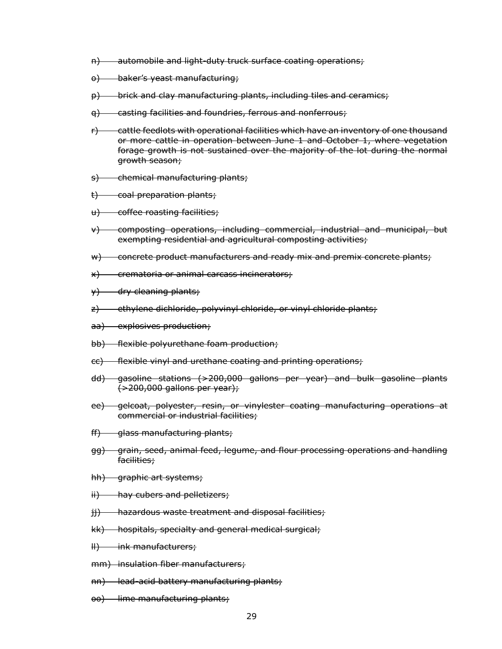- n) automobile and light-duty truck surface coating operations;
- o) baker's yeast manufacturing:
- p) brick and clay manufacturing plants, including tiles and ceramics;
- q) casting facilities and foundries, ferrous and nonferrous;
- $r$ ) cattle feedlots with operational facilities which have an inventory of one thousand or more cattle in operation between June 1 and October 1, where vegetation forage growth is not sustained over the majority of the lot during the normal growth season;
- s) chemical manufacturing plants;
- t) coal preparation plants;
- u) coffee roasting facilities;
- v) composting operations, including commercial, industrial and municipal, but exempting residential and agricultural composting activities;
- w) concrete product manufacturers and ready mix and premix concrete plants;
- x) crematoria or animal carcass incinerators;
- $\forall$  dry cleaning plants;
- z) ethylene dichloride, polyvinyl chloride, or vinyl chloride plants;
- aa) explosives production;
- bb) flexible polyurethane foam production;
- cc) flexible vinyl and urethane coating and printing operations;
- dd) gasoline stations (>200,000 gallons per year) and bulk gasoline plants (>200,000 gallons per year);
- ee) gelcoat, polyester, resin, or vinylester coating manufacturing operations at commercial or industrial facilities;
- ff) glass manufacturing plants;
- gg) grain, seed, animal feed, legume, and flour processing operations and handling facilities;
- hh) graphic art systems;
- ii) hay cubers and pelletizers;
- ji) hazardous waste treatment and disposal facilities;
- kk) hospitals, specialty and general medical surgical;
- ll) ink manufacturers;
- mm) insulation fiber manufacturers;
- nn) lead-acid battery manufacturing plants;
- oo) lime manufacturing plants;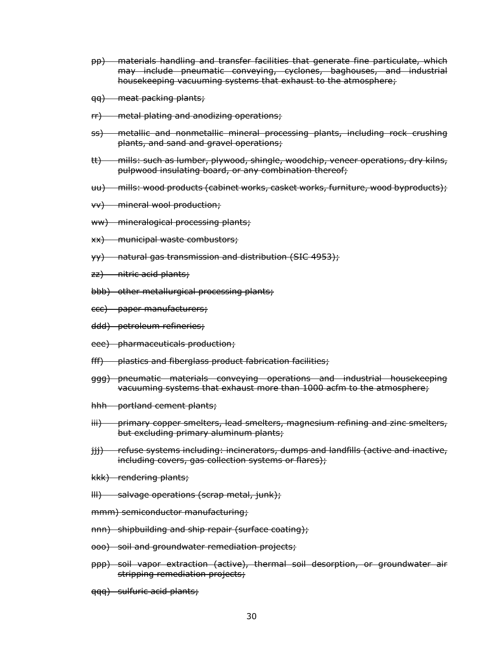- pp) materials handling and transfer facilities that generate fine particulate, which may include pneumatic conveying, cyclones, baghouses, and industrial housekeeping vacuuming systems that exhaust to the atmosphere;
- qq) meat packing plants;
- rr) metal plating and anodizing operations;
- ss) metallic and nonmetallic mineral processing plants, including rock crushing plants, and sand and gravel operations;
- tt) mills: such as lumber, plywood, shingle, woodchip, veneer operations, dry kilns, pulpwood insulating board, or any combination thereof;
- uu) mills: wood products (cabinet works, casket works, furniture, wood byproducts);
- vv) mineral wool production;
- ww) mineralogical processing plants;
- xx) municipal waste combustors;
- yy) natural gas transmission and distribution (SIC 4953);
- zz) nitric acid plants;
- bbb) other metallurgical processing plants;
- ccc) paper manufacturers;
- ddd) petroleum refineries;
- eee) pharmaceuticals production;
- fff) plastics and fiberglass product fabrication facilities;
- ggg) pneumatic materials conveying operations and industrial housekeeping vacuuming systems that exhaust more than 1000 acfm to the atmosphere;
- hhh portland cement plants;
- iii) primary copper smelters, lead smelters, magnesium refining and zinc smelters, but excluding primary aluminum plants;
- jjj) refuse systems including: incinerators, dumps and landfills (active and inactive, including covers, gas collection systems or flares);
- kkk) rendering plants;
- lll) salvage operations (scrap metal, junk);
- mmm) semiconductor manufacturing;
- nnn) shipbuilding and ship repair (surface coating);
- ooo) soil and groundwater remediation projects;
- ppp) soil vapor extraction (active), thermal soil desorption, or groundwater air stripping remediation projects;
- qqq) sulfuric acid plants;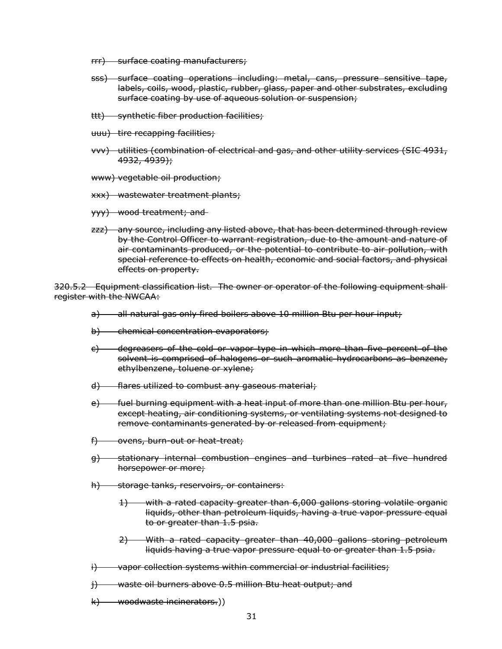- rrr) surface coating manufacturers;
- sss) surface coating operations including: metal, cans, pressure sensitive tape, labels, coils, wood, plastic, rubber, glass, paper and other substrates, excluding surface coating by use of aqueous solution or suspension;
- ttt) synthetic fiber production facilities;
- uuu) tire recapping facilities;
- vvv) utilities (combination of electrical and gas, and other utility services (SIC 4931, 4932, 4939);
- www) vegetable oil production;
- xxx) wastewater treatment plants;
- yyy) wood treatment; and
- zzz) any source, including any listed above, that has been determined through review by the Control Officer to warrant registration, due to the amount and nature of air contaminants produced, or the potential to contribute to air pollution, with special reference to effects on health, economic and social factors, and physical effects on property.

320.5.2 Equipment classification list. The owner or operator of the following equipment shall register with the NWCAA:

- a) all natural gas only fired boilers above 10 million Btu per hour input;
- b) chemical concentration evaporators;
- c) degreasers of the cold or vapor type in which more than five percent of the solvent is comprised of halogens or such aromatic hydrocarbons as benzene, ethylbenzene, toluene or xylene;
- d) flares utilized to combust any gaseous material;
- e) fuel burning equipment with a heat input of more than one million Btu per hour, except heating, air conditioning systems, or ventilating systems not designed to remove contaminants generated by or released from equipment;
- f) ovens, burn-out or heat-treat;
- g) stationary internal combustion engines and turbines rated at five hundred horsepower or more;
- h) storage tanks, reservoirs, or containers:
	- 1) with a rated capacity greater than 6,000 gallons storing volatile organic liquids, other than petroleum liquids, having a true vapor pressure equal to or greater than 1.5 psia.
	- 2) With a rated capacity greater than 40,000 gallons storing petroleum liquids having a true vapor pressure equal to or greater than 1.5 psia.
- $i)$  vapor collection systems within commercial or industrial facilities;
- j) waste oil burners above 0.5 million Btu heat output; and
- k) woodwaste incinerators.))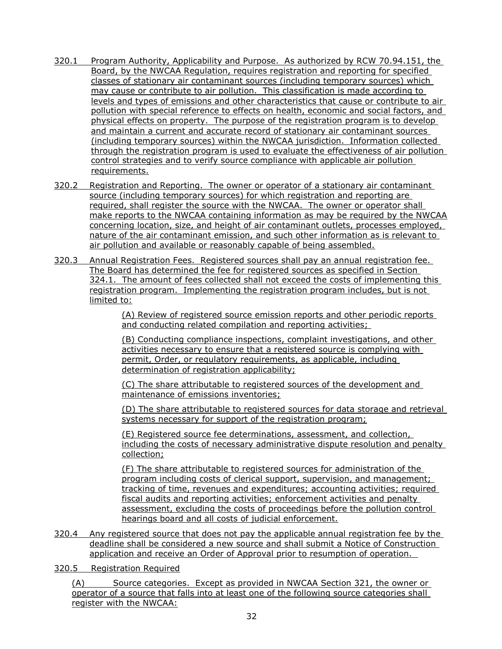- 320.1 Program Authority, Applicability and Purpose. As authorized by RCW 70.94.151, the Board, by the NWCAA Regulation, requires registration and reporting for specified classes of stationary air contaminant sources (including temporary sources) which may cause or contribute to air pollution. This classification is made according to levels and types of emissions and other characteristics that cause or contribute to air pollution with special reference to effects on health, economic and social factors, and physical effects on property. The purpose of the registration program is to develop and maintain a current and accurate record of stationary air contaminant sources (including temporary sources) within the NWCAA jurisdiction. Information collected through the registration program is used to evaluate the effectiveness of air pollution control strategies and to verify source compliance with applicable air pollution requirements.
- 320.2 Registration and Reporting. The owner or operator of a stationary air contaminant source (including temporary sources) for which registration and reporting are required, shall register the source with the NWCAA. The owner or operator shall make reports to the NWCAA containing information as may be required by the NWCAA concerning location, size, and height of air contaminant outlets, processes employed, nature of the air contaminant emission, and such other information as is relevant to air pollution and available or reasonably capable of being assembled.
- 320.3 Annual Registration Fees. Registered sources shall pay an annual registration fee. The Board has determined the fee for registered sources as specified in Section 324.1. The amount of fees collected shall not exceed the costs of implementing this registration program. Implementing the registration program includes, but is not limited to:

(A) Review of registered source emission reports and other periodic reports and conducting related compilation and reporting activities;

(B) Conducting compliance inspections, complaint investigations, and other activities necessary to ensure that a registered source is complying with permit, Order, or regulatory requirements, as applicable, including determination of registration applicability;

(C) The share attributable to registered sources of the development and maintenance of emissions inventories;

(D) The share attributable to registered sources for data storage and retrieval systems necessary for support of the registration program;

(E) Registered source fee determinations, assessment, and collection, including the costs of necessary administrative dispute resolution and penalty collection;

(F) The share attributable to registered sources for administration of the program including costs of clerical support, supervision, and management; tracking of time, revenues and expenditures; accounting activities; required fiscal audits and reporting activities; enforcement activities and penalty assessment, excluding the costs of proceedings before the pollution control hearings board and all costs of judicial enforcement.

- 320.4 Any registered source that does not pay the applicable annual registration fee by the deadline shall be considered a new source and shall submit a Notice of Construction application and receive an Order of Approval prior to resumption of operation.
- 320.5 Registration Required

(A) Source categories. Except as provided in NWCAA Section 321, the owner or operator of a source that falls into at least one of the following source categories shall register with the NWCAA: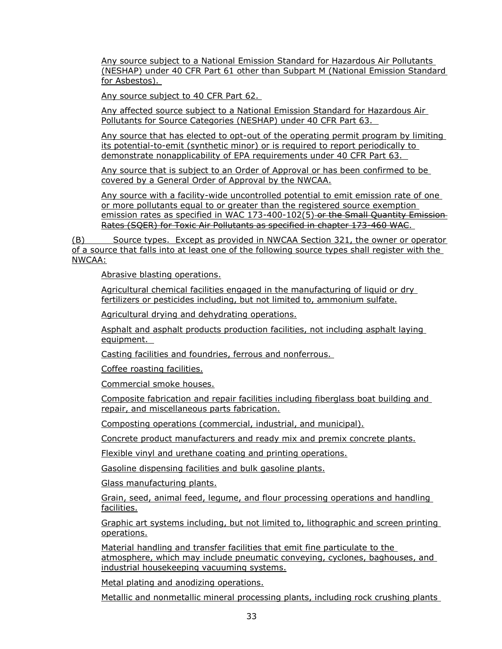Any source subject to a National Emission Standard for Hazardous Air Pollutants (NESHAP) under 40 CFR Part 61 other than Subpart M (National Emission Standard for Asbestos).

Any source subject to 40 CFR Part 62.

Any affected source subject to a National Emission Standard for Hazardous Air Pollutants for Source Categories (NESHAP) under 40 CFR Part 63.

Any source that has elected to opt-out of the operating permit program by limiting its potential-to-emit (synthetic minor) or is required to report periodically to demonstrate nonapplicability of EPA requirements under 40 CFR Part 63.

Any source that is subject to an Order of Approval or has been confirmed to be covered by a General Order of Approval by the NWCAA.

Any source with a facility-wide uncontrolled potential to emit emission rate of one or more pollutants equal to or greater than the registered source exemption emission rates as specified in WAC 173-400-102(5) or the Small Quantity Emission Rates (SQER) for Toxic Air Pollutants as specified in chapter 173-460 WAC.

(B) Source types. Except as provided in NWCAA Section 321, the owner or operator of a source that falls into at least one of the following source types shall register with the NWCAA:

Abrasive blasting operations.

Agricultural chemical facilities engaged in the manufacturing of liquid or dry fertilizers or pesticides including, but not limited to, ammonium sulfate.

Agricultural drying and dehydrating operations.

Asphalt and asphalt products production facilities, not including asphalt laying equipment.

Casting facilities and foundries, ferrous and nonferrous.

Coffee roasting facilities.

Commercial smoke houses.

Composite fabrication and repair facilities including fiberglass boat building and repair, and miscellaneous parts fabrication.

Composting operations (commercial, industrial, and municipal).

Concrete product manufacturers and ready mix and premix concrete plants.

Flexible vinyl and urethane coating and printing operations.

Gasoline dispensing facilities and bulk gasoline plants.

Glass manufacturing plants.

Grain, seed, animal feed, legume, and flour processing operations and handling facilities.

Graphic art systems including, but not limited to, lithographic and screen printing operations.

Material handling and transfer facilities that emit fine particulate to the atmosphere, which may include pneumatic conveying, cyclones, baghouses, and industrial housekeeping vacuuming systems.

Metal plating and anodizing operations.

Metallic and nonmetallic mineral processing plants, including rock crushing plants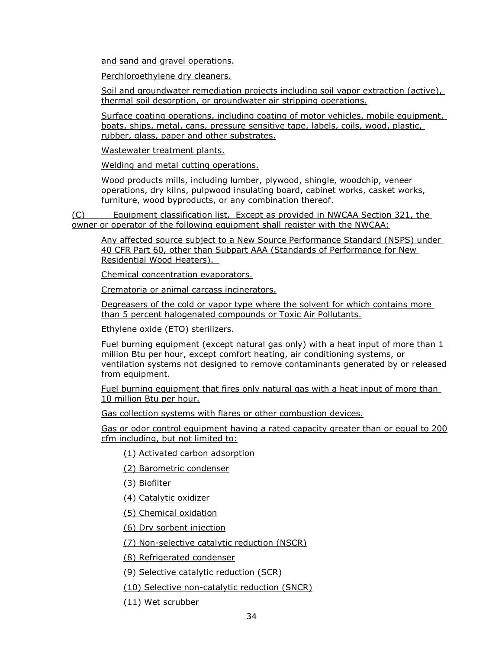and sand and gravel operations.

Perchloroethylene dry cleaners.

Soil and groundwater remediation projects including soil vapor extraction (active), thermal soil desorption, or groundwater air stripping operations.

Surface coating operations, including coating of motor vehicles, mobile equipment, boats, ships, metal, cans, pressure sensitive tape, labels, coils, wood, plastic, rubber, glass, paper and other substrates.

Wastewater treatment plants.

Welding and metal cutting operations.

Wood products mills, including lumber, plywood, shingle, woodchip, veneer operations, dry kilns, pulpwood insulating board, cabinet works, casket works, furniture, wood byproducts, or any combination thereof.

(C) Equipment classification list. Except as provided in NWCAA Section 321, the owner or operator of the following equipment shall register with the NWCAA:

Any affected source subject to a New Source Performance Standard (NSPS) under 40 CFR Part 60, other than Subpart AAA (Standards of Performance for New Residential Wood Heaters).

Chemical concentration evaporators.

Crematoria or animal carcass incinerators.

Degreasers of the cold or vapor type where the solvent for which contains more than 5 percent halogenated compounds or Toxic Air Pollutants.

Ethylene oxide (ETO) sterilizers.

Fuel burning equipment (except natural gas only) with a heat input of more than 1 million Btu per hour, except comfort heating, air conditioning systems, or ventilation systems not designed to remove contaminants generated by or released from equipment.

Fuel burning equipment that fires only natural gas with a heat input of more than 10 million Btu per hour.

Gas collection systems with flares or other combustion devices.

Gas or odor control equipment having a rated capacity greater than or equal to 200 cfm including, but not limited to:

(1) Activated carbon adsorption

(2) Barometric condenser

(3) Biofilter

(4) Catalytic oxidizer

(5) Chemical oxidation

(6) Dry sorbent injection

(7) Non-selective catalytic reduction (NSCR)

(8) Refrigerated condenser

(9) Selective catalytic reduction (SCR)

(10) Selective non-catalytic reduction (SNCR)

(11) Wet scrubber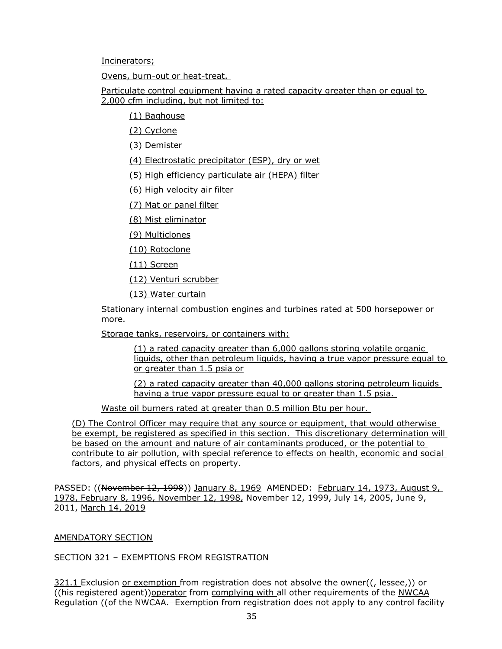Incinerators;

Ovens, burn-out or heat-treat.

Particulate control equipment having a rated capacity greater than or equal to 2,000 cfm including, but not limited to:

(1) Baghouse

(2) Cyclone

(3) Demister

(4) Electrostatic precipitator (ESP), dry or wet

(5) High efficiency particulate air (HEPA) filter

(6) High velocity air filter

(7) Mat or panel filter

(8) Mist eliminator

(9) Multiclones

(10) Rotoclone

(11) Screen

(12) Venturi scrubber

(13) Water curtain

Stationary internal combustion engines and turbines rated at 500 horsepower or more.

Storage tanks, reservoirs, or containers with:

(1) a rated capacity greater than 6,000 gallons storing volatile organic liquids, other than petroleum liquids, having a true vapor pressure equal to or greater than 1.5 psia or

(2) a rated capacity greater than 40,000 gallons storing petroleum liquids having a true vapor pressure equal to or greater than 1.5 psia.

Waste oil burners rated at greater than 0.5 million Btu per hour.

(D) The Control Officer may require that any source or equipment, that would otherwise be exempt, be registered as specified in this section. This discretionary determination will be based on the amount and nature of air contaminants produced, or the potential to contribute to air pollution, with special reference to effects on health, economic and social factors, and physical effects on property.

PASSED: ((November 12, 1998)) January 8, 1969 AMENDED: February 14, 1973, August 9, 1978, February 8, 1996, November 12, 1998, November 12, 1999, July 14, 2005, June 9, 2011, March 14, 2019

### AMENDATORY SECTION

SECTION 321 – EXEMPTIONS FROM REGISTRATION

 $321.1$  Exclusion or exemption from registration does not absolve the owner( $\left($ , lessee,)) or ((his registered agent))operator from complying with all other requirements of the NWCAA Regulation ((of the NWCAA. Exemption from registration does not apply to any control facility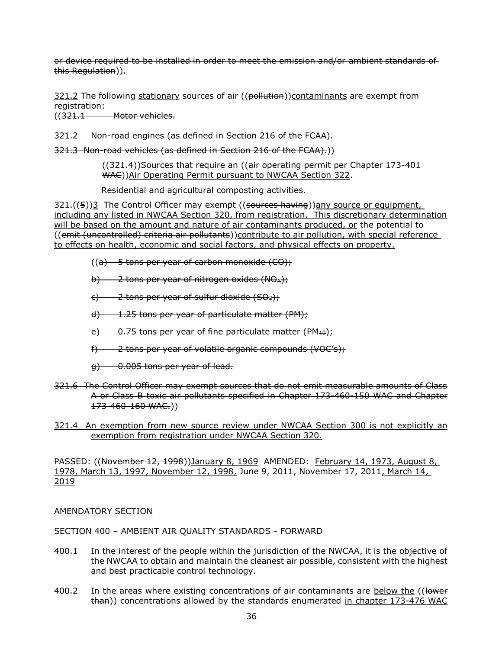or device required to be installed in order to meet the emission and/or ambient standards of this Regulation)).

 $321.2$  The following stationary sources of air ((pollution))contaminants are exempt from registration:

((321.1 Motor vehicles.

321.2 Non-road engines (as defined in Section 216 of the FCAA).

321.3 Non-road vehicles (as defined in Section 216 of the FCAA).))

 $((321.4))$ Sources that require an  $((air operation operation)$  permit per Chapter 173-401-WAC))Air Operating Permit pursuant to NWCAA Section 322.

Residential and agricultural composting activities.

 $321.((5))3$  The Control Officer may exempt  $((\frac{1}{2} + \frac{1}{2})$  any source or equipment, including any listed in NWCAA Section 320, from registration. This discretionary determination will be based on the amount and nature of air contaminants produced, or the potential to ((emit (uncontrolled) criteria air pollutants))contribute to air pollution, with special reference to effects on health, economic and social factors, and physical effects on property.

- $((a)$  5 tons per year of carbon monoxide  $(CO)$ ;
- b)  $\rightarrow$  2 tons per year of nitrogen oxides (NO<sub>x</sub>);
- $\epsilon$ ) 2 tons per year of sulfur dioxide (SO<sub>2</sub>);
- d) 1.25 tons per year of particulate matter (PM);
- e)  $-0.75$  tons per year of fine particulate matter (PM<sub>10</sub>);
- f) 2 tons per year of volatile organic compounds (VOC's);
- $g$ ) 0.005 tons per year of lead.
- 321.6 The Control Officer may exempt sources that do not emit measurable amounts of Class A or Class B toxic air pollutants specified in Chapter 173-460-150 WAC and Chapter 173-460-160 WAC.))

#### 321.4 An exemption from new source review under NWCAA Section 300 is not explicitly an exemption from registration under NWCAA Section 320.

PASSED: ((November 12, 1998))January 8, 1969 AMENDED: February 14, 1973, August 8, 1978, March 13, 1997, November 12, 1998, June 9, 2011, November 17, 2011, March 14, 2019

### AMENDATORY SECTION

SECTION 400 – AMBIENT AIR QUALITY STANDARDS - FORWARD

- 400.1 In the interest of the people within the jurisdiction of the NWCAA, it is the objective of the NWCAA to obtain and maintain the cleanest air possible, consistent with the highest and best practicable control technology.
- 400.2 In the areas where existing concentrations of air contaminants are below the ((lower than)) concentrations allowed by the standards enumerated in chapter 173-476 WAC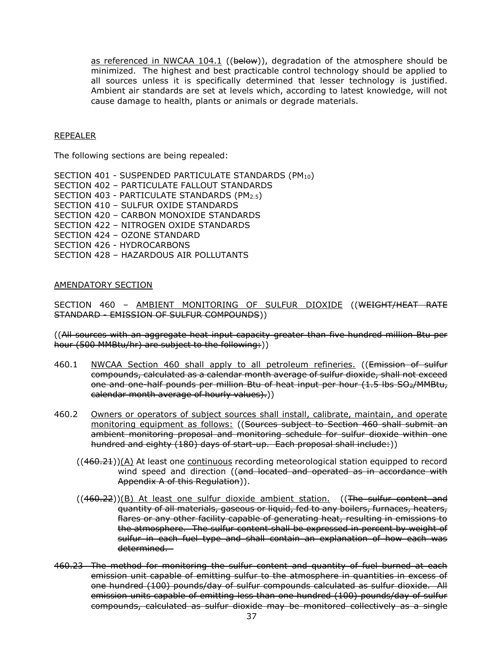as referenced in NWCAA 104.1 ((below)), degradation of the atmosphere should be minimized. The highest and best practicable control technology should be applied to all sources unless it is specifically determined that lesser technology is justified. Ambient air standards are set at levels which, according to latest knowledge, will not cause damage to health, plants or animals or degrade materials.

#### REPEALER

The following sections are being repealed:

SECTION 401 - SUSPENDED PARTICULATE STANDARDS (PM10) SECTION 402 – PARTICULATE FALLOUT STANDARDS SECTION 403 - PARTICULATE STANDARDS (PM2.5) SECTION 410 – SULFUR OXIDE STANDARDS SECTION 420 – CARBON MONOXIDE STANDARDS SECTION 422 – NITROGEN OXIDE STANDARDS SECTION 424 – OZONE STANDARD SECTION 426 - HYDROCARBONS SECTION 428 – HAZARDOUS AIR POLLUTANTS

#### AMENDATORY SECTION

SECTION 460 - AMBIENT MONITORING OF SULFUR DIOXIDE ((WEIGHT/HEAT RATE STANDARD - EMISSION OF SULFUR COMPOUNDS))

((All sources with an aggregate heat input capacity greater than five hundred million Btu per hour (500 MMBtu/hr) are subject to the following:))

- 460.1 NWCAA Section 460 shall apply to all petroleum refineries. ((Emission of sulfur compounds, calculated as a calendar month average of sulfur dioxide, shall not exceed one and one-half pounds per million Btu of heat input per hour (1.5 lbs SO<sub>2</sub>/MMBtu, calendar month average of hourly values).))
- 460.2 Owners or operators of subject sources shall install, calibrate, maintain, and operate monitoring equipment as follows: ((Sources subject to Section 460 shall submit an ambient monitoring proposal and monitoring schedule for sulfur dioxide within one hundred and eighty (180) days of start-up. Each proposal shall include:))
	- $((460.21))(A)$  At least one continuous recording meteorological station equipped to record wind speed and direction ((and located and operated as in accordance with Appendix A of this Regulation)).
	- $((460.22))(B)$  At least one sulfur dioxide ambient station. ((The sulfur content and quantity of all materials, gaseous or liquid, fed to any boilers, furnaces, heaters, flares or any other facility capable of generating heat, resulting in emissions to the atmosphere. The sulfur content shall be expressed in percent by weight of sulfur in each fuel type and shall contain an explanation of how each was determined.
- 460.23 The method for monitoring the sulfur content and quantity of fuel burned at each emission unit capable of emitting sulfur to the atmosphere in quantities in excess of one hundred (100) pounds/day of sulfur compounds calculated as sulfur dioxide. All emission units capable of emitting less than one hundred (100) pounds/day of sulfur compounds, calculated as sulfur dioxide may be monitored collectively as a single